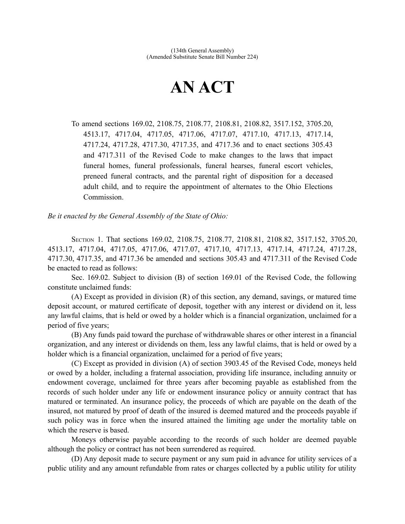## **AN ACT**

To amend sections 169.02, 2108.75, 2108.77, 2108.81, 2108.82, 3517.152, 3705.20, 4513.17, 4717.04, 4717.05, 4717.06, 4717.07, 4717.10, 4717.13, 4717.14, 4717.24, 4717.28, 4717.30, 4717.35, and 4717.36 and to enact sections 305.43 and 4717.311 of the Revised Code to make changes to the laws that impact funeral homes, funeral professionals, funeral hearses, funeral escort vehicles, preneed funeral contracts, and the parental right of disposition for a deceased adult child, and to require the appointment of alternates to the Ohio Elections Commission.

*Be it enacted by the General Assembly of the State of Ohio:*

SECTION 1. That sections 169.02, 2108.75, 2108.77, 2108.81, 2108.82, 3517.152, 3705.20, 4513.17, 4717.04, 4717.05, 4717.06, 4717.07, 4717.10, 4717.13, 4717.14, 4717.24, 4717.28, 4717.30, 4717.35, and 4717.36 be amended and sections 305.43 and 4717.311 of the Revised Code be enacted to read as follows:

Sec. 169.02. Subject to division (B) of section 169.01 of the Revised Code, the following constitute unclaimed funds:

(A) Except as provided in division (R) of this section, any demand, savings, or matured time deposit account, or matured certificate of deposit, together with any interest or dividend on it, less any lawful claims, that is held or owed by a holder which is a financial organization, unclaimed for a period of five years;

(B) Any funds paid toward the purchase of withdrawable shares or other interest in a financial organization, and any interest or dividends on them, less any lawful claims, that is held or owed by a holder which is a financial organization, unclaimed for a period of five years;

(C) Except as provided in division (A) of section 3903.45 of the Revised Code, moneys held or owed by a holder, including a fraternal association, providing life insurance, including annuity or endowment coverage, unclaimed for three years after becoming payable as established from the records of such holder under any life or endowment insurance policy or annuity contract that has matured or terminated. An insurance policy, the proceeds of which are payable on the death of the insured, not matured by proof of death of the insured is deemed matured and the proceeds payable if such policy was in force when the insured attained the limiting age under the mortality table on which the reserve is based.

Moneys otherwise payable according to the records of such holder are deemed payable although the policy or contract has not been surrendered as required.

(D) Any deposit made to secure payment or any sum paid in advance for utility services of a public utility and any amount refundable from rates or charges collected by a public utility for utility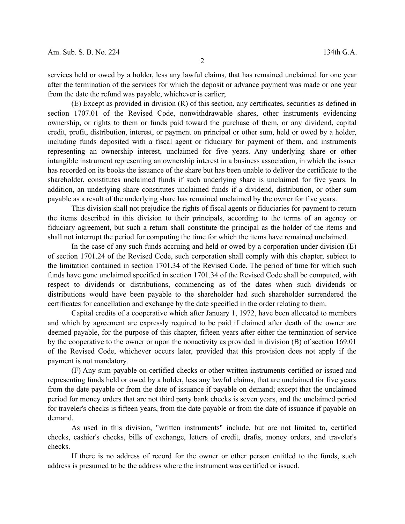services held or owed by a holder, less any lawful claims, that has remained unclaimed for one year after the termination of the services for which the deposit or advance payment was made or one year from the date the refund was payable, whichever is earlier;

(E) Except as provided in division (R) of this section, any certificates, securities as defined in section 1707.01 of the Revised Code, nonwithdrawable shares, other instruments evidencing ownership, or rights to them or funds paid toward the purchase of them, or any dividend, capital credit, profit, distribution, interest, or payment on principal or other sum, held or owed by a holder, including funds deposited with a fiscal agent or fiduciary for payment of them, and instruments representing an ownership interest, unclaimed for five years. Any underlying share or other intangible instrument representing an ownership interest in a business association, in which the issuer has recorded on its books the issuance of the share but has been unable to deliver the certificate to the shareholder, constitutes unclaimed funds if such underlying share is unclaimed for five years. In addition, an underlying share constitutes unclaimed funds if a dividend, distribution, or other sum payable as a result of the underlying share has remained unclaimed by the owner for five years.

This division shall not prejudice the rights of fiscal agents or fiduciaries for payment to return the items described in this division to their principals, according to the terms of an agency or fiduciary agreement, but such a return shall constitute the principal as the holder of the items and shall not interrupt the period for computing the time for which the items have remained unclaimed.

In the case of any such funds accruing and held or owed by a corporation under division (E) of section 1701.24 of the Revised Code, such corporation shall comply with this chapter, subject to the limitation contained in section 1701.34 of the Revised Code. The period of time for which such funds have gone unclaimed specified in section 1701.34 of the Revised Code shall be computed, with respect to dividends or distributions, commencing as of the dates when such dividends or distributions would have been payable to the shareholder had such shareholder surrendered the certificates for cancellation and exchange by the date specified in the order relating to them.

Capital credits of a cooperative which after January 1, 1972, have been allocated to members and which by agreement are expressly required to be paid if claimed after death of the owner are deemed payable, for the purpose of this chapter, fifteen years after either the termination of service by the cooperative to the owner or upon the nonactivity as provided in division (B) of section 169.01 of the Revised Code, whichever occurs later, provided that this provision does not apply if the payment is not mandatory.

(F) Any sum payable on certified checks or other written instruments certified or issued and representing funds held or owed by a holder, less any lawful claims, that are unclaimed for five years from the date payable or from the date of issuance if payable on demand; except that the unclaimed period for money orders that are not third party bank checks is seven years, and the unclaimed period for traveler's checks is fifteen years, from the date payable or from the date of issuance if payable on demand.

As used in this division, "written instruments" include, but are not limited to, certified checks, cashier's checks, bills of exchange, letters of credit, drafts, money orders, and traveler's checks.

If there is no address of record for the owner or other person entitled to the funds, such address is presumed to be the address where the instrument was certified or issued.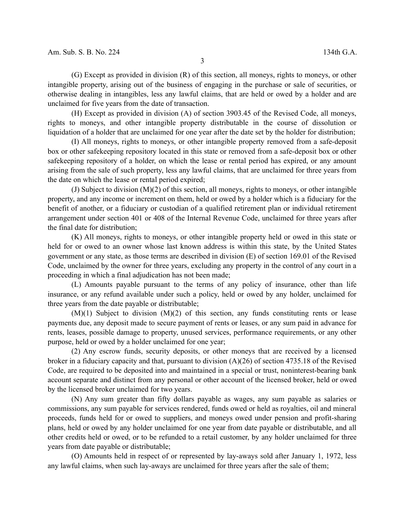(G) Except as provided in division (R) of this section, all moneys, rights to moneys, or other intangible property, arising out of the business of engaging in the purchase or sale of securities, or otherwise dealing in intangibles, less any lawful claims, that are held or owed by a holder and are unclaimed for five years from the date of transaction.

(H) Except as provided in division (A) of section 3903.45 of the Revised Code, all moneys, rights to moneys, and other intangible property distributable in the course of dissolution or liquidation of a holder that are unclaimed for one year after the date set by the holder for distribution;

(I) All moneys, rights to moneys, or other intangible property removed from a safe-deposit box or other safekeeping repository located in this state or removed from a safe-deposit box or other safekeeping repository of a holder, on which the lease or rental period has expired, or any amount arising from the sale of such property, less any lawful claims, that are unclaimed for three years from the date on which the lease or rental period expired;

(J) Subject to division (M)(2) of this section, all moneys, rights to moneys, or other intangible property, and any income or increment on them, held or owed by a holder which is a fiduciary for the benefit of another, or a fiduciary or custodian of a qualified retirement plan or individual retirement arrangement under section 401 or 408 of the Internal Revenue Code, unclaimed for three years after the final date for distribution;

(K) All moneys, rights to moneys, or other intangible property held or owed in this state or held for or owed to an owner whose last known address is within this state, by the United States government or any state, as those terms are described in division (E) of section 169.01 of the Revised Code, unclaimed by the owner for three years, excluding any property in the control of any court in a proceeding in which a final adjudication has not been made;

(L) Amounts payable pursuant to the terms of any policy of insurance, other than life insurance, or any refund available under such a policy, held or owed by any holder, unclaimed for three years from the date payable or distributable;

 $(M)(1)$  Subject to division  $(M)(2)$  of this section, any funds constituting rents or lease payments due, any deposit made to secure payment of rents or leases, or any sum paid in advance for rents, leases, possible damage to property, unused services, performance requirements, or any other purpose, held or owed by a holder unclaimed for one year;

(2) Any escrow funds, security deposits, or other moneys that are received by a licensed broker in a fiduciary capacity and that, pursuant to division (A)(26) of section 4735.18 of the Revised Code, are required to be deposited into and maintained in a special or trust, noninterest-bearing bank account separate and distinct from any personal or other account of the licensed broker, held or owed by the licensed broker unclaimed for two years.

(N) Any sum greater than fifty dollars payable as wages, any sum payable as salaries or commissions, any sum payable for services rendered, funds owed or held as royalties, oil and mineral proceeds, funds held for or owed to suppliers, and moneys owed under pension and profit-sharing plans, held or owed by any holder unclaimed for one year from date payable or distributable, and all other credits held or owed, or to be refunded to a retail customer, by any holder unclaimed for three years from date payable or distributable;

(O) Amounts held in respect of or represented by lay-aways sold after January 1, 1972, less any lawful claims, when such lay-aways are unclaimed for three years after the sale of them;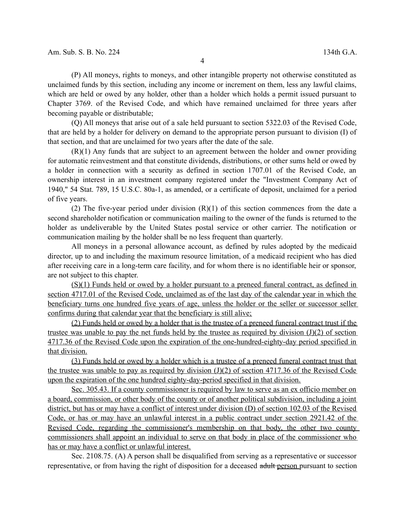(P) All moneys, rights to moneys, and other intangible property not otherwise constituted as unclaimed funds by this section, including any income or increment on them, less any lawful claims, which are held or owed by any holder, other than a holder which holds a permit issued pursuant to Chapter 3769. of the Revised Code, and which have remained unclaimed for three years after becoming payable or distributable;

(Q) All moneys that arise out of a sale held pursuant to section 5322.03 of the Revised Code, that are held by a holder for delivery on demand to the appropriate person pursuant to division (I) of that section, and that are unclaimed for two years after the date of the sale.

(R)(1) Any funds that are subject to an agreement between the holder and owner providing for automatic reinvestment and that constitute dividends, distributions, or other sums held or owed by a holder in connection with a security as defined in section 1707.01 of the Revised Code, an ownership interest in an investment company registered under the "Investment Company Act of 1940," 54 Stat. 789, 15 U.S.C. 80a-1, as amended, or a certificate of deposit, unclaimed for a period of five years.

(2) The five-year period under division  $(R)(1)$  of this section commences from the date a second shareholder notification or communication mailing to the owner of the funds is returned to the holder as undeliverable by the United States postal service or other carrier. The notification or communication mailing by the holder shall be no less frequent than quarterly.

All moneys in a personal allowance account, as defined by rules adopted by the medicaid director, up to and including the maximum resource limitation, of a medicaid recipient who has died after receiving care in a long-term care facility, and for whom there is no identifiable heir or sponsor, are not subject to this chapter.

(S)(1) Funds held or owed by a holder pursuant to a preneed funeral contract, as defined in section 4717.01 of the Revised Code, unclaimed as of the last day of the calendar year in which the beneficiary turns one hundred five years of age, unless the holder or the seller or successor seller confirms during that calendar year that the beneficiary is still alive;

(2) Funds held or owed by a holder that is the trustee of a preneed funeral contract trust if the trustee was unable to pay the net funds held by the trustee as required by division  $(J)(2)$  of section 4717.36 of the Revised Code upon the expiration of the one-hundred-eighty-day period specified in that division.

(3) Funds held or owed by a holder which is a trustee of a preneed funeral contract trust that the trustee was unable to pay as required by division  $(J)(2)$  of section 4717.36 of the Revised Code upon the expiration of the one hundred eighty-day-period specified in that division.

 Sec. 305.43. If a county commissioner is required by law to serve as an ex officio member on a board, commission, or other body of the county or of another political subdivision, including a joint district, but has or may have a conflict of interest under division (D) of section 102.03 of the Revised Code, or has or may have an unlawful interest in a public contract under section 2921.42 of the Revised Code, regarding the commissioner's membership on that body, the other two county commissioners shall appoint an individual to serve on that body in place of the commissioner who has or may have a conflict or unlawful interest.

Sec. 2108.75. (A) A person shall be disqualified from serving as a representative or successor representative, or from having the right of disposition for a deceased adult person pursuant to section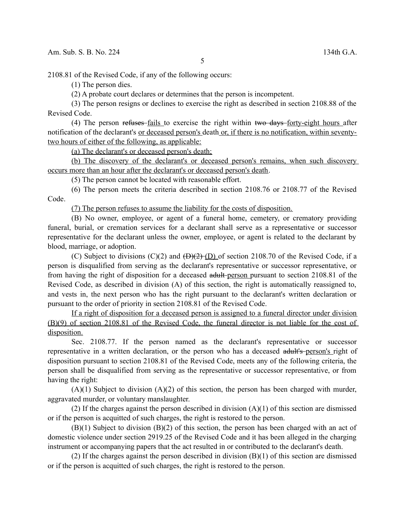2108.81 of the Revised Code, if any of the following occurs:

(1) The person dies.

(2) A probate court declares or determines that the person is incompetent.

(3) The person resigns or declines to exercise the right as described in section 2108.88 of the Revised Code.

(4) The person refuses fails to exercise the right within two days forty-eight hours after notification of the declarant's or deceased person's death or, if there is no notification, within seventytwo hours of either of the following, as applicable:

(a) The declarant's or deceased person's death;

(b) The discovery of the declarant's or deceased person's remains, when such discovery occurs more than an hour after the declarant's or deceased person's death.

(5) The person cannot be located with reasonable effort.

(6) The person meets the criteria described in section 2108.76 or 2108.77 of the Revised Code.

(7) The person refuses to assume the liability for the costs of disposition.

(B) No owner, employee, or agent of a funeral home, cemetery, or crematory providing funeral, burial, or cremation services for a declarant shall serve as a representative or successor representative for the declarant unless the owner, employee, or agent is related to the declarant by blood, marriage, or adoption.

(C) Subject to divisions (C)(2) and  $(\overline{D})(2)$  (D) of section 2108.70 of the Revised Code, if a person is disqualified from serving as the declarant's representative or successor representative, or from having the right of disposition for a deceased adult person pursuant to section 2108.81 of the Revised Code, as described in division (A) of this section, the right is automatically reassigned to, and vests in, the next person who has the right pursuant to the declarant's written declaration or pursuant to the order of priority in section 2108.81 of the Revised Code.

If a right of disposition for a deceased person is assigned to a funeral director under division (B)(9) of section 2108.81 of the Revised Code, the funeral director is not liable for the cost of disposition.

Sec. 2108.77. If the person named as the declarant's representative or successor representative in a written declaration, or the person who has a deceased adult's person's right of disposition pursuant to section 2108.81 of the Revised Code, meets any of the following criteria, the person shall be disqualified from serving as the representative or successor representative, or from having the right:

 $(A)(1)$  Subject to division  $(A)(2)$  of this section, the person has been charged with murder, aggravated murder, or voluntary manslaughter.

(2) If the charges against the person described in division  $(A)(1)$  of this section are dismissed or if the person is acquitted of such charges, the right is restored to the person.

(B)(1) Subject to division (B)(2) of this section, the person has been charged with an act of domestic violence under section 2919.25 of the Revised Code and it has been alleged in the charging instrument or accompanying papers that the act resulted in or contributed to the declarant's death.

(2) If the charges against the person described in division (B)(1) of this section are dismissed or if the person is acquitted of such charges, the right is restored to the person.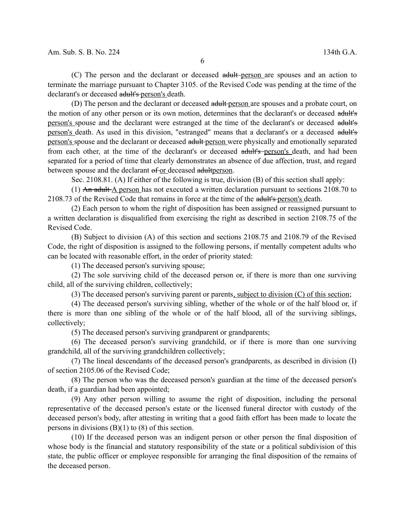(C) The person and the declarant or deceased adult-person are spouses and an action to terminate the marriage pursuant to Chapter 3105. of the Revised Code was pending at the time of the declarant's or deceased adult's person's death.

(D) The person and the declarant or deceased adult person are spouses and a probate court, on the motion of any other person or its own motion, determines that the declarant's or deceased adult's person's spouse and the declarant were estranged at the time of the declarant's or deceased adult's person's death. As used in this division, "estranged" means that a declarant's or a deceased adult's person's spouse and the declarant or deceased adult person were physically and emotionally separated from each other, at the time of the declarant's or deceased adult's person's death, and had been separated for a period of time that clearly demonstrates an absence of due affection, trust, and regard between spouse and the declarant of or deceased adultperson.

Sec. 2108.81. (A) If either of the following is true, division (B) of this section shall apply:

(1) An adult A person has not executed a written declaration pursuant to sections 2108.70 to 2108.73 of the Revised Code that remains in force at the time of the adult's person's death.

(2) Each person to whom the right of disposition has been assigned or reassigned pursuant to a written declaration is disqualified from exercising the right as described in section 2108.75 of the Revised Code.

(B) Subject to division (A) of this section and sections 2108.75 and 2108.79 of the Revised Code, the right of disposition is assigned to the following persons, if mentally competent adults who can be located with reasonable effort, in the order of priority stated:

(1) The deceased person's surviving spouse;

(2) The sole surviving child of the deceased person or, if there is more than one surviving child, all of the surviving children, collectively;

(3) The deceased person's surviving parent or parents, subject to division (C) of this section;

(4) The deceased person's surviving sibling, whether of the whole or of the half blood or, if there is more than one sibling of the whole or of the half blood, all of the surviving siblings, collectively;

(5) The deceased person's surviving grandparent or grandparents;

(6) The deceased person's surviving grandchild, or if there is more than one surviving grandchild, all of the surviving grandchildren collectively;

(7) The lineal descendants of the deceased person's grandparents, as described in division (I) of section 2105.06 of the Revised Code;

(8) The person who was the deceased person's guardian at the time of the deceased person's death, if a guardian had been appointed;

(9) Any other person willing to assume the right of disposition, including the personal representative of the deceased person's estate or the licensed funeral director with custody of the deceased person's body, after attesting in writing that a good faith effort has been made to locate the persons in divisions  $(B)(1)$  to  $(8)$  of this section.

(10) If the deceased person was an indigent person or other person the final disposition of whose body is the financial and statutory responsibility of the state or a political subdivision of this state, the public officer or employee responsible for arranging the final disposition of the remains of the deceased person.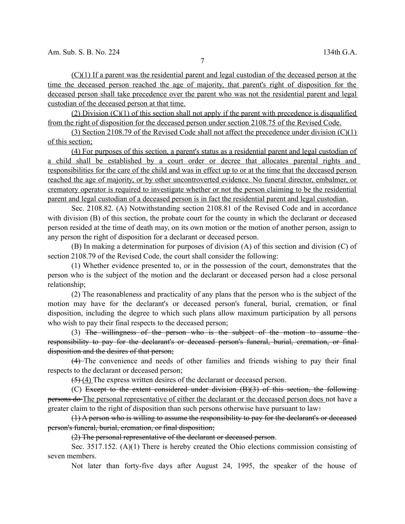(C)(1) If a parent was the residential parent and legal custodian of the deceased person at the time the deceased person reached the age of majority, that parent's right of disposition for the deceased person shall take precedence over the parent who was not the residential parent and legal custodian of the deceased person at that time.

(2) Division (C)(1) of this section shall not apply if the parent with precedence is disqualified from the right of disposition for the deceased person under section 2108.75 of the Revised Code.

(3) Section 2108.79 of the Revised Code shall not affect the precedence under division (C)(1) of this section;

(4) For purposes of this section, a parent's status as a residential parent and legal custodian of a child shall be established by a court order or decree that allocates parental rights and responsibilities for the care of the child and was in effect up to or at the time that the deceased person reached the age of majority, or by other uncontroverted evidence. No funeral director, embalmer, or crematory operator is required to investigate whether or not the person claiming to be the residential parent and legal custodian of a deceased person is in fact the residential parent and legal custodian.

Sec. 2108.82. (A) Notwithstanding section 2108.81 of the Revised Code and in accordance with division (B) of this section, the probate court for the county in which the declarant or deceased person resided at the time of death may, on its own motion or the motion of another person, assign to any person the right of disposition for a declarant or deceased person.

(B) In making a determination for purposes of division (A) of this section and division (C) of section 2108.79 of the Revised Code, the court shall consider the following:

(1) Whether evidence presented to, or in the possession of the court, demonstrates that the person who is the subject of the motion and the declarant or deceased person had a close personal relationship;

(2) The reasonableness and practicality of any plans that the person who is the subject of the motion may have for the declarant's or deceased person's funeral, burial, cremation, or final disposition, including the degree to which such plans allow maximum participation by all persons who wish to pay their final respects to the deceased person;

(3) The willingness of the person who is the subject of the motion to assume the responsibility to pay for the declarant's or deceased person's funeral, burial, cremation, or finaldisposition and the desires of that person;

(4) The convenience and needs of other families and friends wishing to pay their final respects to the declarant or deceased person;

 $(5)$  (4) The express written desires of the declarant or deceased person.

(C) Except to the extent considered under division (B)(3) of this section, the following persons do The personal representative of either the declarant or the deceased person does not have a greater claim to the right of disposition than such persons otherwise have pursuant to law-

(1) A person who is willing to assume the responsibility to pay for the declarant's or deceased person's funeral, burial, cremation, or final disposition;

(2) The personal representative of the declarant or deceased person.

Sec. 3517.152. (A)(1) There is hereby created the Ohio elections commission consisting of seven members.

Not later than forty-five days after August 24, 1995, the speaker of the house of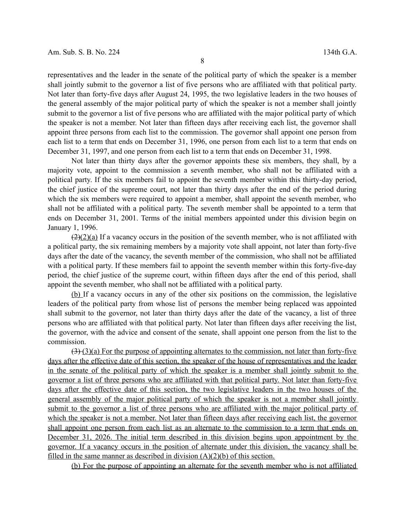representatives and the leader in the senate of the political party of which the speaker is a member shall jointly submit to the governor a list of five persons who are affiliated with that political party. Not later than forty-five days after August 24, 1995, the two legislative leaders in the two houses of the general assembly of the major political party of which the speaker is not a member shall jointly submit to the governor a list of five persons who are affiliated with the major political party of which the speaker is not a member. Not later than fifteen days after receiving each list, the governor shall appoint three persons from each list to the commission. The governor shall appoint one person from each list to a term that ends on December 31, 1996, one person from each list to a term that ends on December 31, 1997, and one person from each list to a term that ends on December 31, 1998.

Not later than thirty days after the governor appoints these six members, they shall, by a majority vote, appoint to the commission a seventh member, who shall not be affiliated with a political party. If the six members fail to appoint the seventh member within this thirty-day period, the chief justice of the supreme court, not later than thirty days after the end of the period during which the six members were required to appoint a member, shall appoint the seventh member, who shall not be affiliated with a political party. The seventh member shall be appointed to a term that ends on December 31, 2001. Terms of the initial members appointed under this division begin on January 1, 1996.

 $(2)(2)(a)$  If a vacancy occurs in the position of the seventh member, who is not affiliated with a political party, the six remaining members by a majority vote shall appoint, not later than forty-five days after the date of the vacancy, the seventh member of the commission, who shall not be affiliated with a political party. If these members fail to appoint the seventh member within this forty-five-day period, the chief justice of the supreme court, within fifteen days after the end of this period, shall appoint the seventh member, who shall not be affiliated with a political party.

(b) If a vacancy occurs in any of the other six positions on the commission, the legislative leaders of the political party from whose list of persons the member being replaced was appointed shall submit to the governor, not later than thirty days after the date of the vacancy, a list of three persons who are affiliated with that political party. Not later than fifteen days after receiving the list, the governor, with the advice and consent of the senate, shall appoint one person from the list to the commission.

 $(3)(3)(a)$  For the purpose of appointing alternates to the commission, not later than forty-five days after the effective date of this section, the speaker of the house of representatives and the leader in the senate of the political party of which the speaker is a member shall jointly submit to the governor a list of three persons who are affiliated with that political party. Not later than forty-five days after the effective date of this section, the two legislative leaders in the two houses of the general assembly of the major political party of which the speaker is not a member shall jointly submit to the governor a list of three persons who are affiliated with the major political party of which the speaker is not a member. Not later than fifteen days after receiving each list, the governor shall appoint one person from each list as an alternate to the commission to a term that ends on December 31, 2026. The initial term described in this division begins upon appointment by the governor. If a vacancy occurs in the position of alternate under this division, the vacancy shall be filled in the same manner as described in division  $(A)(2)(b)$  of this section.

(b) For the purpose of appointing an alternate for the seventh member who is not affiliated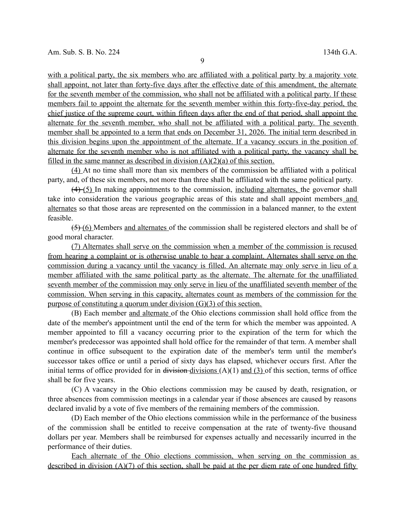9

with a political party, the six members who are affiliated with a political party by a majority vote shall appoint, not later than forty-five days after the effective date of this amendment, the alternate for the seventh member of the commission, who shall not be affiliated with a political party. If these members fail to appoint the alternate for the seventh member within this forty-five-day period, the chief justice of the supreme court, within fifteen days after the end of that period, shall appoint the alternate for the seventh member, who shall not be affiliated with a political party. The seventh member shall be appointed to a term that ends on December 31, 2026. The initial term described in this division begins upon the appointment of the alternate. If a vacancy occurs in the position of alternate for the seventh member who is not affiliated with a political party, the vacancy shall be filled in the same manner as described in division  $(A)(2)(a)$  of this section.

(4) At no time shall more than six members of the commission be affiliated with a political party, and, of these six members, not more than three shall be affiliated with the same political party.

 $(4)$  (5) In making appointments to the commission, including alternates, the governor shall take into consideration the various geographic areas of this state and shall appoint members and alternates so that those areas are represented on the commission in a balanced manner, to the extent feasible.

(5) (6) Members and alternates of the commission shall be registered electors and shall be of good moral character.

(7) Alternates shall serve on the commission when a member of the commission is recused from hearing a complaint or is otherwise unable to hear a complaint. Alternates shall serve on the commission during a vacancy until the vacancy is filled. An alternate may only serve in lieu of a member affiliated with the same political party as the alternate. The alternate for the unaffiliated seventh member of the commission may only serve in lieu of the unaffiliated seventh member of the commission. When serving in this capacity, alternates count as members of the commission for the purpose of constituting a quorum under division (G)(3) of this section.

(B) Each member and alternate of the Ohio elections commission shall hold office from the date of the member's appointment until the end of the term for which the member was appointed. A member appointed to fill a vacancy occurring prior to the expiration of the term for which the member's predecessor was appointed shall hold office for the remainder of that term. A member shall continue in office subsequent to the expiration date of the member's term until the member's successor takes office or until a period of sixty days has elapsed, whichever occurs first. After the initial terms of office provided for in division-divisions  $(A)(1)$  and  $(B)$  of this section, terms of office shall be for five years.

(C) A vacancy in the Ohio elections commission may be caused by death, resignation, or three absences from commission meetings in a calendar year if those absences are caused by reasons declared invalid by a vote of five members of the remaining members of the commission.

(D) Each member of the Ohio elections commission while in the performance of the business of the commission shall be entitled to receive compensation at the rate of twenty-five thousand dollars per year. Members shall be reimbursed for expenses actually and necessarily incurred in the performance of their duties.

Each alternate of the Ohio elections commission, when serving on the commission as described in division  $(A)(7)$  of this section, shall be paid at the per diem rate of one hundred fifty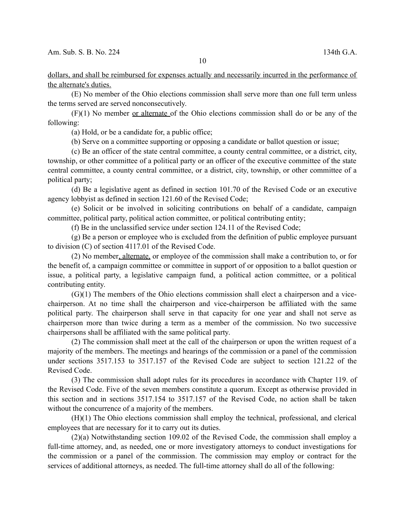dollars, and shall be reimbursed for expenses actually and necessarily incurred in the performance of the alternate's duties.

(E) No member of the Ohio elections commission shall serve more than one full term unless the terms served are served nonconsecutively.

(F)(1) No member or alternate of the Ohio elections commission shall do or be any of the following:

(a) Hold, or be a candidate for, a public office;

(b) Serve on a committee supporting or opposing a candidate or ballot question or issue;

(c) Be an officer of the state central committee, a county central committee, or a district, city, township, or other committee of a political party or an officer of the executive committee of the state central committee, a county central committee, or a district, city, township, or other committee of a political party;

(d) Be a legislative agent as defined in section 101.70 of the Revised Code or an executive agency lobbyist as defined in section 121.60 of the Revised Code;

(e) Solicit or be involved in soliciting contributions on behalf of a candidate, campaign committee, political party, political action committee, or political contributing entity;

(f) Be in the unclassified service under section 124.11 of the Revised Code;

(g) Be a person or employee who is excluded from the definition of public employee pursuant to division (C) of section 4117.01 of the Revised Code.

(2) No member, alternate, or employee of the commission shall make a contribution to, or for the benefit of, a campaign committee or committee in support of or opposition to a ballot question or issue, a political party, a legislative campaign fund, a political action committee, or a political contributing entity.

(G)(1) The members of the Ohio elections commission shall elect a chairperson and a vicechairperson. At no time shall the chairperson and vice-chairperson be affiliated with the same political party. The chairperson shall serve in that capacity for one year and shall not serve as chairperson more than twice during a term as a member of the commission. No two successive chairpersons shall be affiliated with the same political party.

(2) The commission shall meet at the call of the chairperson or upon the written request of a majority of the members. The meetings and hearings of the commission or a panel of the commission under sections 3517.153 to 3517.157 of the Revised Code are subject to section 121.22 of the Revised Code.

(3) The commission shall adopt rules for its procedures in accordance with Chapter 119. of the Revised Code. Five of the seven members constitute a quorum. Except as otherwise provided in this section and in sections 3517.154 to 3517.157 of the Revised Code, no action shall be taken without the concurrence of a majority of the members.

(H)(1) The Ohio elections commission shall employ the technical, professional, and clerical employees that are necessary for it to carry out its duties.

(2)(a) Notwithstanding section 109.02 of the Revised Code, the commission shall employ a full-time attorney, and, as needed, one or more investigatory attorneys to conduct investigations for the commission or a panel of the commission. The commission may employ or contract for the services of additional attorneys, as needed. The full-time attorney shall do all of the following: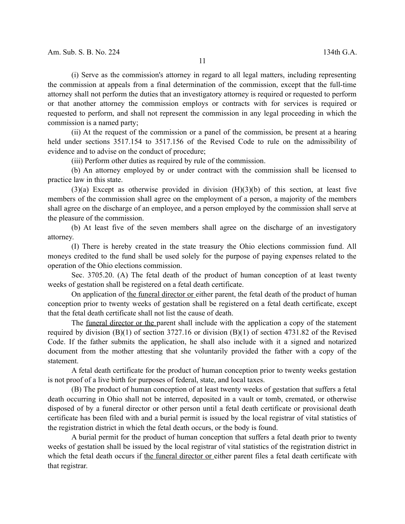(i) Serve as the commission's attorney in regard to all legal matters, including representing the commission at appeals from a final determination of the commission, except that the full-time attorney shall not perform the duties that an investigatory attorney is required or requested to perform or that another attorney the commission employs or contracts with for services is required or requested to perform, and shall not represent the commission in any legal proceeding in which the commission is a named party;

(ii) At the request of the commission or a panel of the commission, be present at a hearing held under sections 3517.154 to 3517.156 of the Revised Code to rule on the admissibility of evidence and to advise on the conduct of procedure;

(iii) Perform other duties as required by rule of the commission.

(b) An attorney employed by or under contract with the commission shall be licensed to practice law in this state.

 $(3)(a)$  Except as otherwise provided in division  $(H)(3)(b)$  of this section, at least five members of the commission shall agree on the employment of a person, a majority of the members shall agree on the discharge of an employee, and a person employed by the commission shall serve at the pleasure of the commission.

(b) At least five of the seven members shall agree on the discharge of an investigatory attorney.

(I) There is hereby created in the state treasury the Ohio elections commission fund. All moneys credited to the fund shall be used solely for the purpose of paying expenses related to the operation of the Ohio elections commission.

Sec. 3705.20. (A) The fetal death of the product of human conception of at least twenty weeks of gestation shall be registered on a fetal death certificate.

On application of the funeral director or either parent, the fetal death of the product of human conception prior to twenty weeks of gestation shall be registered on a fetal death certificate, except that the fetal death certificate shall not list the cause of death.

The funeral director or the parent shall include with the application a copy of the statement required by division (B)(1) of section 3727.16 or division (B)(1) of section 4731.82 of the Revised Code. If the father submits the application, he shall also include with it a signed and notarized document from the mother attesting that she voluntarily provided the father with a copy of the statement.

A fetal death certificate for the product of human conception prior to twenty weeks gestation is not proof of a live birth for purposes of federal, state, and local taxes.

(B) The product of human conception of at least twenty weeks of gestation that suffers a fetal death occurring in Ohio shall not be interred, deposited in a vault or tomb, cremated, or otherwise disposed of by a funeral director or other person until a fetal death certificate or provisional death certificate has been filed with and a burial permit is issued by the local registrar of vital statistics of the registration district in which the fetal death occurs, or the body is found.

A burial permit for the product of human conception that suffers a fetal death prior to twenty weeks of gestation shall be issued by the local registrar of vital statistics of the registration district in which the fetal death occurs if the funeral director or either parent files a fetal death certificate with that registrar.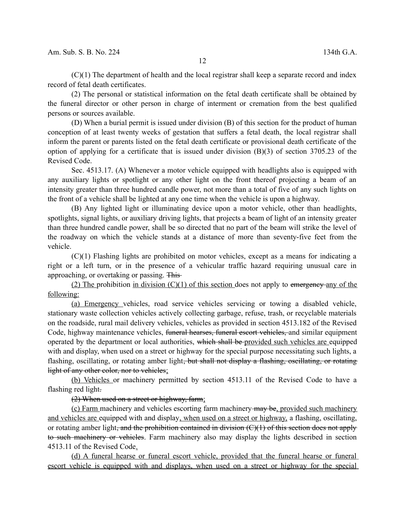(C)(1) The department of health and the local registrar shall keep a separate record and index record of fetal death certificates.

(2) The personal or statistical information on the fetal death certificate shall be obtained by the funeral director or other person in charge of interment or cremation from the best qualified persons or sources available.

(D) When a burial permit is issued under division (B) of this section for the product of human conception of at least twenty weeks of gestation that suffers a fetal death, the local registrar shall inform the parent or parents listed on the fetal death certificate or provisional death certificate of the option of applying for a certificate that is issued under division (B)(3) of section 3705.23 of the Revised Code.

Sec. 4513.17. (A) Whenever a motor vehicle equipped with headlights also is equipped with any auxiliary lights or spotlight or any other light on the front thereof projecting a beam of an intensity greater than three hundred candle power, not more than a total of five of any such lights on the front of a vehicle shall be lighted at any one time when the vehicle is upon a highway.

(B) Any lighted light or illuminating device upon a motor vehicle, other than headlights, spotlights, signal lights, or auxiliary driving lights, that projects a beam of light of an intensity greater than three hundred candle power, shall be so directed that no part of the beam will strike the level of the roadway on which the vehicle stands at a distance of more than seventy-five feet from the vehicle.

(C)(1) Flashing lights are prohibited on motor vehicles, except as a means for indicating a right or a left turn, or in the presence of a vehicular traffic hazard requiring unusual care in approaching, or overtaking or passing. This

(2) The prohibition in division  $(C)(1)$  of this section does not apply to emergency any of the following:

(a) Emergency vehicles, road service vehicles servicing or towing a disabled vehicle, stationary waste collection vehicles actively collecting garbage, refuse, trash, or recyclable materials on the roadside, rural mail delivery vehicles, vehicles as provided in section 4513.182 of the Revised Code, highway maintenance vehicles, funeral hearses, funeral escort vehicles, and similar equipment operated by the department or local authorities, which shall be provided such vehicles are equipped with and display, when used on a street or highway for the special purpose necessitating such lights, a flashing, oscillating, or rotating amber light<del>, but shall not display a flashing, oscillating, or rotating</del> light of any other color, nor to vehicles;

(b) Vehicles or machinery permitted by section 4513.11 of the Revised Code to have a flashing red light.

(2) When used on a street or highway, farm;

(c) Farm machinery and vehicles escorting farm machinery  $\frac{m}{m}$  be, provided such machinery and vehicles are equipped with and display, when used on a street or highway, a flashing, oscillating, or rotating amber light, and the prohibition contained in division  $(C)(1)$  of this section does not apply to such machinery or vehicles. Farm machinery also may display the lights described in section 4513.11 of the Revised Code.

(d) A funeral hearse or funeral escort vehicle, provided that the funeral hearse or funeral escort vehicle is equipped with and displays, when used on a street or highway for the special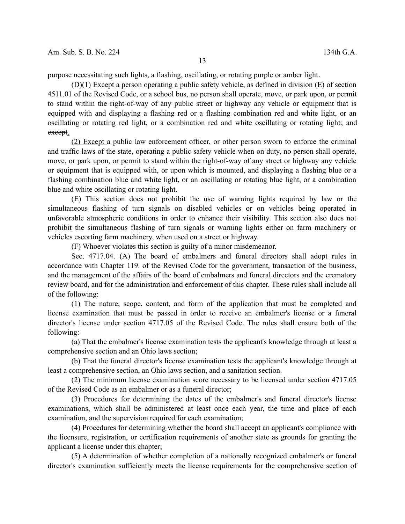purpose necessitating such lights, a flashing, oscillating, or rotating purple or amber light.

(D)(1) Except a person operating a public safety vehicle, as defined in division (E) of section 4511.01 of the Revised Code, or a school bus, no person shall operate, move, or park upon, or permit to stand within the right-of-way of any public street or highway any vehicle or equipment that is equipped with and displaying a flashing red or a flashing combination red and white light, or an oscillating or rotating red light, or a combination red and white oscillating or rotating light; and except.

(2) Except a public law enforcement officer, or other person sworn to enforce the criminal and traffic laws of the state, operating a public safety vehicle when on duty, no person shall operate, move, or park upon, or permit to stand within the right-of-way of any street or highway any vehicle or equipment that is equipped with, or upon which is mounted, and displaying a flashing blue or a flashing combination blue and white light, or an oscillating or rotating blue light, or a combination blue and white oscillating or rotating light.

(E) This section does not prohibit the use of warning lights required by law or the simultaneous flashing of turn signals on disabled vehicles or on vehicles being operated in unfavorable atmospheric conditions in order to enhance their visibility. This section also does not prohibit the simultaneous flashing of turn signals or warning lights either on farm machinery or vehicles escorting farm machinery, when used on a street or highway.

(F) Whoever violates this section is guilty of a minor misdemeanor.

Sec. 4717.04. (A) The board of embalmers and funeral directors shall adopt rules in accordance with Chapter 119. of the Revised Code for the government, transaction of the business, and the management of the affairs of the board of embalmers and funeral directors and the crematory review board, and for the administration and enforcement of this chapter. These rules shall include all of the following:

(1) The nature, scope, content, and form of the application that must be completed and license examination that must be passed in order to receive an embalmer's license or a funeral director's license under section 4717.05 of the Revised Code. The rules shall ensure both of the following:

(a) That the embalmer's license examination tests the applicant's knowledge through at least a comprehensive section and an Ohio laws section;

(b) That the funeral director's license examination tests the applicant's knowledge through at least a comprehensive section, an Ohio laws section, and a sanitation section.

(2) The minimum license examination score necessary to be licensed under section 4717.05 of the Revised Code as an embalmer or as a funeral director;

(3) Procedures for determining the dates of the embalmer's and funeral director's license examinations, which shall be administered at least once each year, the time and place of each examination, and the supervision required for each examination;

(4) Procedures for determining whether the board shall accept an applicant's compliance with the licensure, registration, or certification requirements of another state as grounds for granting the applicant a license under this chapter;

(5) A determination of whether completion of a nationally recognized embalmer's or funeral director's examination sufficiently meets the license requirements for the comprehensive section of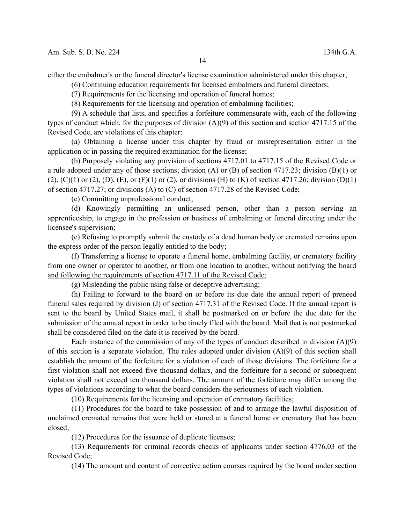either the embalmer's or the funeral director's license examination administered under this chapter;

(6) Continuing education requirements for licensed embalmers and funeral directors;

(7) Requirements for the licensing and operation of funeral homes;

(8) Requirements for the licensing and operation of embalming facilities;

(9) A schedule that lists, and specifies a forfeiture commensurate with, each of the following types of conduct which, for the purposes of division (A)(9) of this section and section 4717.15 of the Revised Code, are violations of this chapter:

(a) Obtaining a license under this chapter by fraud or misrepresentation either in the application or in passing the required examination for the license;

(b) Purposely violating any provision of sections 4717.01 to 4717.15 of the Revised Code or a rule adopted under any of those sections; division (A) or (B) of section 4717.23; division (B)(1) or (2), (C)(1) or (2), (D), (E), or (F)(1) or (2), or divisions (H) to (K) of section 4717.26; division (D)(1) of section 4717.27; or divisions (A) to (C) of section 4717.28 of the Revised Code;

(c) Committing unprofessional conduct;

(d) Knowingly permitting an unlicensed person, other than a person serving an apprenticeship, to engage in the profession or business of embalming or funeral directing under the licensee's supervision;

(e) Refusing to promptly submit the custody of a dead human body or cremated remains upon the express order of the person legally entitled to the body;

(f) Transferring a license to operate a funeral home, embalming facility, or crematory facility from one owner or operator to another, or from one location to another, without notifying the board and following the requirements of section 4717.11 of the Revised Code;

(g) Misleading the public using false or deceptive advertising;

(h) Failing to forward to the board on or before its due date the annual report of preneed funeral sales required by division (J) of section 4717.31 of the Revised Code. If the annual report is sent to the board by United States mail, it shall be postmarked on or before the due date for the submission of the annual report in order to be timely filed with the board. Mail that is not postmarked shall be considered filed on the date it is received by the board.

Each instance of the commission of any of the types of conduct described in division (A)(9) of this section is a separate violation. The rules adopted under division (A)(9) of this section shall establish the amount of the forfeiture for a violation of each of those divisions. The forfeiture for a first violation shall not exceed five thousand dollars, and the forfeiture for a second or subsequent violation shall not exceed ten thousand dollars. The amount of the forfeiture may differ among the types of violations according to what the board considers the seriousness of each violation.

(10) Requirements for the licensing and operation of crematory facilities;

(11) Procedures for the board to take possession of and to arrange the lawful disposition of unclaimed cremated remains that were held or stored at a funeral home or crematory that has been closed;

(12) Procedures for the issuance of duplicate licenses;

(13) Requirements for criminal records checks of applicants under section 4776.03 of the Revised Code;

(14) The amount and content of corrective action courses required by the board under section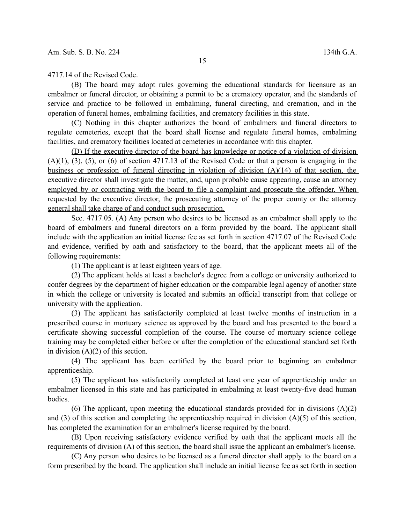4717.14 of the Revised Code.

(B) The board may adopt rules governing the educational standards for licensure as an embalmer or funeral director, or obtaining a permit to be a crematory operator, and the standards of service and practice to be followed in embalming, funeral directing, and cremation, and in the operation of funeral homes, embalming facilities, and crematory facilities in this state.

(C) Nothing in this chapter authorizes the board of embalmers and funeral directors to regulate cemeteries, except that the board shall license and regulate funeral homes, embalming facilities, and crematory facilities located at cemeteries in accordance with this chapter.

(D) If the executive director of the board has knowledge or notice of a violation of division  $(A)(1)$ ,  $(3)$ ,  $(5)$ , or  $(6)$  of section 4717.13 of the Revised Code or that a person is engaging in the business or profession of funeral directing in violation of division (A)(14) of that section, the executive director shall investigate the matter, and, upon probable cause appearing, cause an attorney employed by or contracting with the board to file a complaint and prosecute the offender. When requested by the executive director, the prosecuting attorney of the proper county or the attorney general shall take charge of and conduct such prosecution.

Sec. 4717.05. (A) Any person who desires to be licensed as an embalmer shall apply to the board of embalmers and funeral directors on a form provided by the board. The applicant shall include with the application an initial license fee as set forth in section 4717.07 of the Revised Code and evidence, verified by oath and satisfactory to the board, that the applicant meets all of the following requirements:

(1) The applicant is at least eighteen years of age.

(2) The applicant holds at least a bachelor's degree from a college or university authorized to confer degrees by the department of higher education or the comparable legal agency of another state in which the college or university is located and submits an official transcript from that college or university with the application.

(3) The applicant has satisfactorily completed at least twelve months of instruction in a prescribed course in mortuary science as approved by the board and has presented to the board a certificate showing successful completion of the course. The course of mortuary science college training may be completed either before or after the completion of the educational standard set forth in division  $(A)(2)$  of this section.

(4) The applicant has been certified by the board prior to beginning an embalmer apprenticeship.

(5) The applicant has satisfactorily completed at least one year of apprenticeship under an embalmer licensed in this state and has participated in embalming at least twenty-five dead human bodies.

(6) The applicant, upon meeting the educational standards provided for in divisions  $(A)(2)$ and (3) of this section and completing the apprenticeship required in division (A)(5) of this section, has completed the examination for an embalmer's license required by the board.

(B) Upon receiving satisfactory evidence verified by oath that the applicant meets all the requirements of division (A) of this section, the board shall issue the applicant an embalmer's license.

(C) Any person who desires to be licensed as a funeral director shall apply to the board on a form prescribed by the board. The application shall include an initial license fee as set forth in section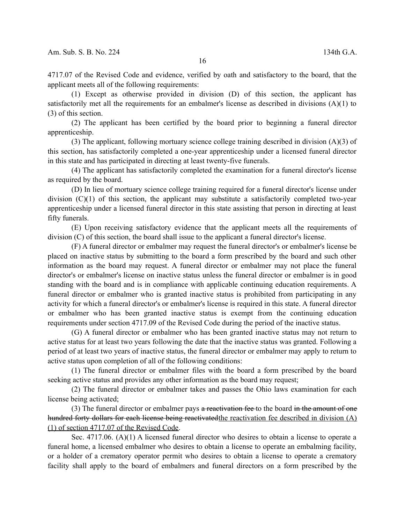4717.07 of the Revised Code and evidence, verified by oath and satisfactory to the board, that the applicant meets all of the following requirements:

(1) Except as otherwise provided in division (D) of this section, the applicant has satisfactorily met all the requirements for an embalmer's license as described in divisions (A)(1) to (3) of this section.

(2) The applicant has been certified by the board prior to beginning a funeral director apprenticeship.

(3) The applicant, following mortuary science college training described in division (A)(3) of this section, has satisfactorily completed a one-year apprenticeship under a licensed funeral director in this state and has participated in directing at least twenty-five funerals.

(4) The applicant has satisfactorily completed the examination for a funeral director's license as required by the board.

(D) In lieu of mortuary science college training required for a funeral director's license under division  $(C)(1)$  of this section, the applicant may substitute a satisfactorily completed two-year apprenticeship under a licensed funeral director in this state assisting that person in directing at least fifty funerals.

(E) Upon receiving satisfactory evidence that the applicant meets all the requirements of division (C) of this section, the board shall issue to the applicant a funeral director's license.

(F) A funeral director or embalmer may request the funeral director's or embalmer's license be placed on inactive status by submitting to the board a form prescribed by the board and such other information as the board may request. A funeral director or embalmer may not place the funeral director's or embalmer's license on inactive status unless the funeral director or embalmer is in good standing with the board and is in compliance with applicable continuing education requirements. A funeral director or embalmer who is granted inactive status is prohibited from participating in any activity for which a funeral director's or embalmer's license is required in this state. A funeral director or embalmer who has been granted inactive status is exempt from the continuing education requirements under section 4717.09 of the Revised Code during the period of the inactive status.

(G) A funeral director or embalmer who has been granted inactive status may not return to active status for at least two years following the date that the inactive status was granted. Following a period of at least two years of inactive status, the funeral director or embalmer may apply to return to active status upon completion of all of the following conditions:

(1) The funeral director or embalmer files with the board a form prescribed by the board seeking active status and provides any other information as the board may request;

(2) The funeral director or embalmer takes and passes the Ohio laws examination for each license being activated;

 $(3)$  The funeral director or embalmer pays a reactivation fee to the board in the amount of one hundred forty dollars for each license being reactivated the reactivation fee described in division (A) (1) of section 4717.07 of the Revised Code.

Sec. 4717.06. (A)(1) A licensed funeral director who desires to obtain a license to operate a funeral home, a licensed embalmer who desires to obtain a license to operate an embalming facility, or a holder of a crematory operator permit who desires to obtain a license to operate a crematory facility shall apply to the board of embalmers and funeral directors on a form prescribed by the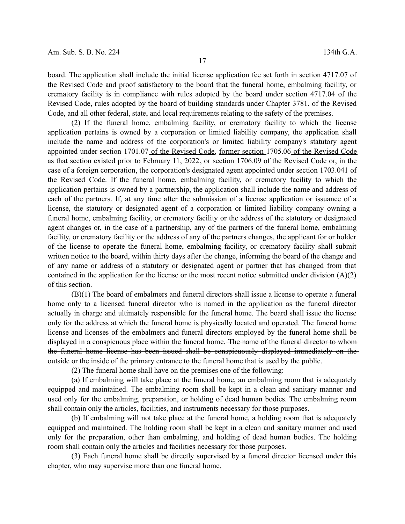board. The application shall include the initial license application fee set forth in section 4717.07 of the Revised Code and proof satisfactory to the board that the funeral home, embalming facility, or crematory facility is in compliance with rules adopted by the board under section 4717.04 of the Revised Code, rules adopted by the board of building standards under Chapter 3781. of the Revised Code, and all other federal, state, and local requirements relating to the safety of the premises.

(2) If the funeral home, embalming facility, or crematory facility to which the license application pertains is owned by a corporation or limited liability company, the application shall include the name and address of the corporation's or limited liability company's statutory agent appointed under section 1701.07 of the Revised Code, former section 1705.06 of the Revised Code as that section existed prior to February 11, 2022, or section 1706.09 of the Revised Code or, in the case of a foreign corporation, the corporation's designated agent appointed under section 1703.041 of the Revised Code. If the funeral home, embalming facility, or crematory facility to which the application pertains is owned by a partnership, the application shall include the name and address of each of the partners. If, at any time after the submission of a license application or issuance of a license, the statutory or designated agent of a corporation or limited liability company owning a funeral home, embalming facility, or crematory facility or the address of the statutory or designated agent changes or, in the case of a partnership, any of the partners of the funeral home, embalming facility, or crematory facility or the address of any of the partners changes, the applicant for or holder of the license to operate the funeral home, embalming facility, or crematory facility shall submit written notice to the board, within thirty days after the change, informing the board of the change and of any name or address of a statutory or designated agent or partner that has changed from that contained in the application for the license or the most recent notice submitted under division (A)(2) of this section.

(B)(1) The board of embalmers and funeral directors shall issue a license to operate a funeral home only to a licensed funeral director who is named in the application as the funeral director actually in charge and ultimately responsible for the funeral home. The board shall issue the license only for the address at which the funeral home is physically located and operated. The funeral home license and licenses of the embalmers and funeral directors employed by the funeral home shall be displayed in a conspicuous place within the funeral home. The name of the funeral director to whom the funeral home license has been issued shall be conspicuously displayed immediately on the outside or the inside of the primary entrance to the funeral home that is used by the public.

(2) The funeral home shall have on the premises one of the following:

(a) If embalming will take place at the funeral home, an embalming room that is adequately equipped and maintained. The embalming room shall be kept in a clean and sanitary manner and used only for the embalming, preparation, or holding of dead human bodies. The embalming room shall contain only the articles, facilities, and instruments necessary for those purposes.

(b) If embalming will not take place at the funeral home, a holding room that is adequately equipped and maintained. The holding room shall be kept in a clean and sanitary manner and used only for the preparation, other than embalming, and holding of dead human bodies. The holding room shall contain only the articles and facilities necessary for those purposes.

(3) Each funeral home shall be directly supervised by a funeral director licensed under this chapter, who may supervise more than one funeral home.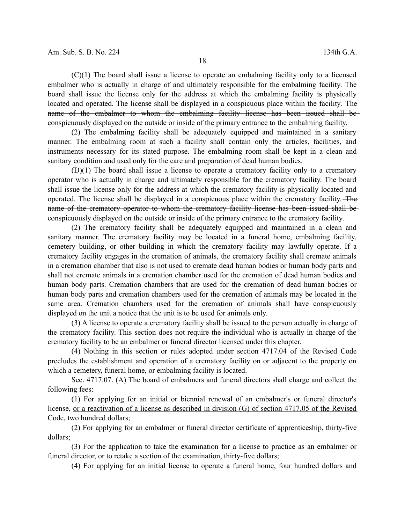(C)(1) The board shall issue a license to operate an embalming facility only to a licensed embalmer who is actually in charge of and ultimately responsible for the embalming facility. The board shall issue the license only for the address at which the embalming facility is physically located and operated. The license shall be displayed in a conspicuous place within the facility. The name of the embalmer to whom the embalming facility license has been issued shall beconspicuously displayed on the outside or inside of the primary entrance to the embalming facility.

(2) The embalming facility shall be adequately equipped and maintained in a sanitary manner. The embalming room at such a facility shall contain only the articles, facilities, and instruments necessary for its stated purpose. The embalming room shall be kept in a clean and sanitary condition and used only for the care and preparation of dead human bodies.

(D)(1) The board shall issue a license to operate a crematory facility only to a crematory operator who is actually in charge and ultimately responsible for the crematory facility. The board shall issue the license only for the address at which the crematory facility is physically located and operated. The license shall be displayed in a conspicuous place within the crematory facility. The name of the crematory operator to whom the crematory facility license has been issued shall be conspicuously displayed on the outside or inside of the primary entrance to the crematory facility.

(2) The crematory facility shall be adequately equipped and maintained in a clean and sanitary manner. The crematory facility may be located in a funeral home, embalming facility, cemetery building, or other building in which the crematory facility may lawfully operate. If a crematory facility engages in the cremation of animals, the crematory facility shall cremate animals in a cremation chamber that also is not used to cremate dead human bodies or human body parts and shall not cremate animals in a cremation chamber used for the cremation of dead human bodies and human body parts. Cremation chambers that are used for the cremation of dead human bodies or human body parts and cremation chambers used for the cremation of animals may be located in the same area. Cremation chambers used for the cremation of animals shall have conspicuously displayed on the unit a notice that the unit is to be used for animals only.

(3) A license to operate a crematory facility shall be issued to the person actually in charge of the crematory facility. This section does not require the individual who is actually in charge of the crematory facility to be an embalmer or funeral director licensed under this chapter.

(4) Nothing in this section or rules adopted under section 4717.04 of the Revised Code precludes the establishment and operation of a crematory facility on or adjacent to the property on which a cemetery, funeral home, or embalming facility is located.

Sec. 4717.07. (A) The board of embalmers and funeral directors shall charge and collect the following fees:

(1) For applying for an initial or biennial renewal of an embalmer's or funeral director's license, or a reactivation of a license as described in division (G) of section 4717.05 of the Revised Code, two hundred dollars;

(2) For applying for an embalmer or funeral director certificate of apprenticeship, thirty-five dollars;

(3) For the application to take the examination for a license to practice as an embalmer or funeral director, or to retake a section of the examination, thirty-five dollars;

(4) For applying for an initial license to operate a funeral home, four hundred dollars and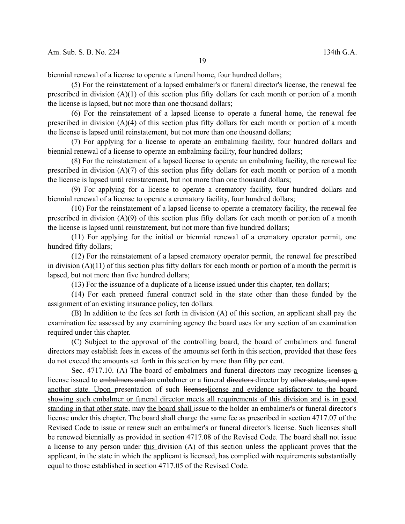biennial renewal of a license to operate a funeral home, four hundred dollars;

(5) For the reinstatement of a lapsed embalmer's or funeral director's license, the renewal fee prescribed in division  $(A)(1)$  of this section plus fifty dollars for each month or portion of a month the license is lapsed, but not more than one thousand dollars;

(6) For the reinstatement of a lapsed license to operate a funeral home, the renewal fee prescribed in division (A)(4) of this section plus fifty dollars for each month or portion of a month the license is lapsed until reinstatement, but not more than one thousand dollars;

(7) For applying for a license to operate an embalming facility, four hundred dollars and biennial renewal of a license to operate an embalming facility, four hundred dollars;

(8) For the reinstatement of a lapsed license to operate an embalming facility, the renewal fee prescribed in division (A)(7) of this section plus fifty dollars for each month or portion of a month the license is lapsed until reinstatement, but not more than one thousand dollars;

(9) For applying for a license to operate a crematory facility, four hundred dollars and biennial renewal of a license to operate a crematory facility, four hundred dollars;

(10) For the reinstatement of a lapsed license to operate a crematory facility, the renewal fee prescribed in division (A)(9) of this section plus fifty dollars for each month or portion of a month the license is lapsed until reinstatement, but not more than five hundred dollars;

(11) For applying for the initial or biennial renewal of a crematory operator permit, one hundred fifty dollars;

(12) For the reinstatement of a lapsed crematory operator permit, the renewal fee prescribed in division (A)(11) of this section plus fifty dollars for each month or portion of a month the permit is lapsed, but not more than five hundred dollars;

(13) For the issuance of a duplicate of a license issued under this chapter, ten dollars;

(14) For each preneed funeral contract sold in the state other than those funded by the assignment of an existing insurance policy, ten dollars.

(B) In addition to the fees set forth in division (A) of this section, an applicant shall pay the examination fee assessed by any examining agency the board uses for any section of an examination required under this chapter.

(C) Subject to the approval of the controlling board, the board of embalmers and funeral directors may establish fees in excess of the amounts set forth in this section, provided that these fees do not exceed the amounts set forth in this section by more than fifty per cent.

Sec.  $4717.10$ . (A) The board of embalmers and funeral directors may recognize licenses  $a$ license issued to embalmers and an embalmer or a funeral directors director by other states, and upon another state. Upon presentation of such licenseslicense and evidence satisfactory to the board showing such embalmer or funeral director meets all requirements of this division and is in good standing in that other state, may the board shall issue to the holder an embalmer's or funeral director's license under this chapter. The board shall charge the same fee as prescribed in section 4717.07 of the Revised Code to issue or renew such an embalmer's or funeral director's license. Such licenses shall be renewed biennially as provided in section 4717.08 of the Revised Code. The board shall not issue a license to any person under this division  $(A)$  of this section unless the applicant proves that the applicant, in the state in which the applicant is licensed, has complied with requirements substantially equal to those established in section 4717.05 of the Revised Code.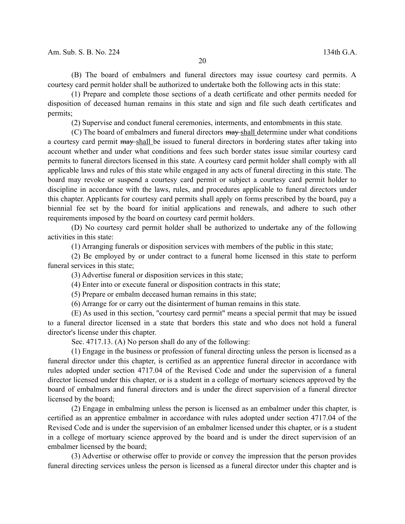(B) The board of embalmers and funeral directors may issue courtesy card permits. A courtesy card permit holder shall be authorized to undertake both the following acts in this state:

(1) Prepare and complete those sections of a death certificate and other permits needed for disposition of deceased human remains in this state and sign and file such death certificates and permits;

(2) Supervise and conduct funeral ceremonies, interments, and entombments in this state.

(C) The board of embalmers and funeral directors may shall determine under what conditions a courtesy card permit may shall be issued to funeral directors in bordering states after taking into account whether and under what conditions and fees such border states issue similar courtesy card permits to funeral directors licensed in this state. A courtesy card permit holder shall comply with all applicable laws and rules of this state while engaged in any acts of funeral directing in this state. The board may revoke or suspend a courtesy card permit or subject a courtesy card permit holder to discipline in accordance with the laws, rules, and procedures applicable to funeral directors under this chapter. Applicants for courtesy card permits shall apply on forms prescribed by the board, pay a biennial fee set by the board for initial applications and renewals, and adhere to such other requirements imposed by the board on courtesy card permit holders.

(D) No courtesy card permit holder shall be authorized to undertake any of the following activities in this state:

(1) Arranging funerals or disposition services with members of the public in this state;

(2) Be employed by or under contract to a funeral home licensed in this state to perform funeral services in this state;

(3) Advertise funeral or disposition services in this state;

(4) Enter into or execute funeral or disposition contracts in this state;

(5) Prepare or embalm deceased human remains in this state;

(6) Arrange for or carry out the disinterment of human remains in this state.

(E) As used in this section, "courtesy card permit" means a special permit that may be issued to a funeral director licensed in a state that borders this state and who does not hold a funeral director's license under this chapter.

Sec. 4717.13. (A) No person shall do any of the following:

(1) Engage in the business or profession of funeral directing unless the person is licensed as a funeral director under this chapter, is certified as an apprentice funeral director in accordance with rules adopted under section 4717.04 of the Revised Code and under the supervision of a funeral director licensed under this chapter, or is a student in a college of mortuary sciences approved by the board of embalmers and funeral directors and is under the direct supervision of a funeral director licensed by the board;

(2) Engage in embalming unless the person is licensed as an embalmer under this chapter, is certified as an apprentice embalmer in accordance with rules adopted under section 4717.04 of the Revised Code and is under the supervision of an embalmer licensed under this chapter, or is a student in a college of mortuary science approved by the board and is under the direct supervision of an embalmer licensed by the board;

(3) Advertise or otherwise offer to provide or convey the impression that the person provides funeral directing services unless the person is licensed as a funeral director under this chapter and is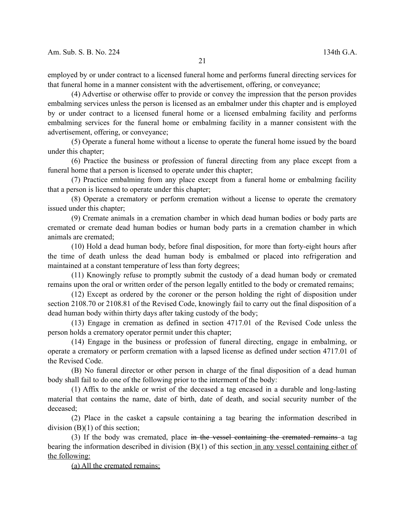employed by or under contract to a licensed funeral home and performs funeral directing services for that funeral home in a manner consistent with the advertisement, offering, or conveyance;

(4) Advertise or otherwise offer to provide or convey the impression that the person provides embalming services unless the person is licensed as an embalmer under this chapter and is employed by or under contract to a licensed funeral home or a licensed embalming facility and performs embalming services for the funeral home or embalming facility in a manner consistent with the advertisement, offering, or conveyance;

(5) Operate a funeral home without a license to operate the funeral home issued by the board under this chapter;

(6) Practice the business or profession of funeral directing from any place except from a funeral home that a person is licensed to operate under this chapter;

(7) Practice embalming from any place except from a funeral home or embalming facility that a person is licensed to operate under this chapter;

(8) Operate a crematory or perform cremation without a license to operate the crematory issued under this chapter;

(9) Cremate animals in a cremation chamber in which dead human bodies or body parts are cremated or cremate dead human bodies or human body parts in a cremation chamber in which animals are cremated;

(10) Hold a dead human body, before final disposition, for more than forty-eight hours after the time of death unless the dead human body is embalmed or placed into refrigeration and maintained at a constant temperature of less than forty degrees;

(11) Knowingly refuse to promptly submit the custody of a dead human body or cremated remains upon the oral or written order of the person legally entitled to the body or cremated remains;

(12) Except as ordered by the coroner or the person holding the right of disposition under section 2108.70 or 2108.81 of the Revised Code, knowingly fail to carry out the final disposition of a dead human body within thirty days after taking custody of the body;

(13) Engage in cremation as defined in section 4717.01 of the Revised Code unless the person holds a crematory operator permit under this chapter;

(14) Engage in the business or profession of funeral directing, engage in embalming, or operate a crematory or perform cremation with a lapsed license as defined under section 4717.01 of the Revised Code.

(B) No funeral director or other person in charge of the final disposition of a dead human body shall fail to do one of the following prior to the interment of the body:

(1) Affix to the ankle or wrist of the deceased a tag encased in a durable and long-lasting material that contains the name, date of birth, date of death, and social security number of the deceased;

(2) Place in the casket a capsule containing a tag bearing the information described in division (B)(1) of this section;

(3) If the body was cremated, place in the vessel containing the cremated remains a tag bearing the information described in division  $(B)(1)$  of this section in any vessel containing either of the following:

(a) All the cremated remains;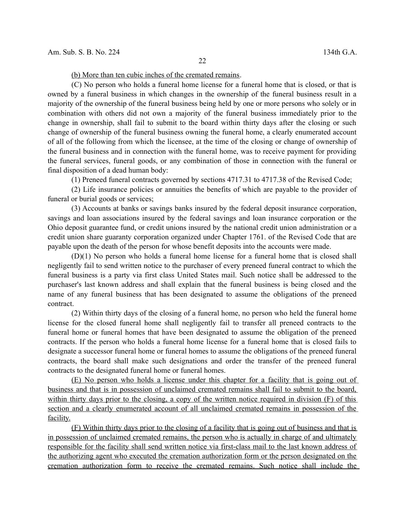(b) More than ten cubic inches of the cremated remains.

(C) No person who holds a funeral home license for a funeral home that is closed, or that is owned by a funeral business in which changes in the ownership of the funeral business result in a majority of the ownership of the funeral business being held by one or more persons who solely or in combination with others did not own a majority of the funeral business immediately prior to the change in ownership, shall fail to submit to the board within thirty days after the closing or such change of ownership of the funeral business owning the funeral home, a clearly enumerated account of all of the following from which the licensee, at the time of the closing or change of ownership of the funeral business and in connection with the funeral home, was to receive payment for providing the funeral services, funeral goods, or any combination of those in connection with the funeral or final disposition of a dead human body:

(1) Preneed funeral contracts governed by sections 4717.31 to 4717.38 of the Revised Code;

(2) Life insurance policies or annuities the benefits of which are payable to the provider of funeral or burial goods or services;

(3) Accounts at banks or savings banks insured by the federal deposit insurance corporation, savings and loan associations insured by the federal savings and loan insurance corporation or the Ohio deposit guarantee fund, or credit unions insured by the national credit union administration or a credit union share guaranty corporation organized under Chapter 1761. of the Revised Code that are payable upon the death of the person for whose benefit deposits into the accounts were made.

(D)(1) No person who holds a funeral home license for a funeral home that is closed shall negligently fail to send written notice to the purchaser of every preneed funeral contract to which the funeral business is a party via first class United States mail. Such notice shall be addressed to the purchaser's last known address and shall explain that the funeral business is being closed and the name of any funeral business that has been designated to assume the obligations of the preneed contract.

(2) Within thirty days of the closing of a funeral home, no person who held the funeral home license for the closed funeral home shall negligently fail to transfer all preneed contracts to the funeral home or funeral homes that have been designated to assume the obligation of the preneed contracts. If the person who holds a funeral home license for a funeral home that is closed fails to designate a successor funeral home or funeral homes to assume the obligations of the preneed funeral contracts, the board shall make such designations and order the transfer of the preneed funeral contracts to the designated funeral home or funeral homes.

(E) No person who holds a license under this chapter for a facility that is going out of business and that is in possession of unclaimed cremated remains shall fail to submit to the board, within thirty days prior to the closing, a copy of the written notice required in division (F) of this section and a clearly enumerated account of all unclaimed cremated remains in possession of the facility.

(F) Within thirty days prior to the closing of a facility that is going out of business and that is in possession of unclaimed cremated remains, the person who is actually in charge of and ultimately responsible for the facility shall send written notice via first-class mail to the last known address of the authorizing agent who executed the cremation authorization form or the person designated on the cremation authorization form to receive the cremated remains. Such notice shall include the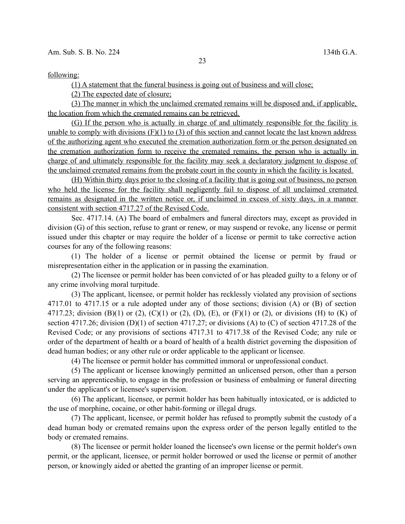following:

(1) A statement that the funeral business is going out of business and will close;

(2) The expected date of closure;

(3) The manner in which the unclaimed cremated remains will be disposed and, if applicable, the location from which the cremated remains can be retrieved.

(G) If the person who is actually in charge of and ultimately responsible for the facility is unable to comply with divisions  $(F)(1)$  to  $(3)$  of this section and cannot locate the last known address of the authorizing agent who executed the cremation authorization form or the person designated on the cremation authorization form to receive the cremated remains, the person who is actually in charge of and ultimately responsible for the facility may seek a declaratory judgment to dispose of the unclaimed cremated remains from the probate court in the county in which the facility is located.

(H) Within thirty days prior to the closing of a facility that is going out of business, no person who held the license for the facility shall negligently fail to dispose of all unclaimed cremated remains as designated in the written notice or, if unclaimed in excess of sixty days, in a manner consistent with section 4717.27 of the Revised Code.

Sec. 4717.14. (A) The board of embalmers and funeral directors may, except as provided in division (G) of this section, refuse to grant or renew, or may suspend or revoke, any license or permit issued under this chapter or may require the holder of a license or permit to take corrective action courses for any of the following reasons:

(1) The holder of a license or permit obtained the license or permit by fraud or misrepresentation either in the application or in passing the examination.

(2) The licensee or permit holder has been convicted of or has pleaded guilty to a felony or of any crime involving moral turpitude.

(3) The applicant, licensee, or permit holder has recklessly violated any provision of sections 4717.01 to 4717.15 or a rule adopted under any of those sections; division (A) or (B) of section 4717.23; division (B)(1) or (2), (C)(1) or (2), (D), (E), or (F)(1) or (2), or divisions (H) to (K) of section 4717.26; division (D)(1) of section 4717.27; or divisions (A) to (C) of section 4717.28 of the Revised Code; or any provisions of sections 4717.31 to 4717.38 of the Revised Code; any rule or order of the department of health or a board of health of a health district governing the disposition of dead human bodies; or any other rule or order applicable to the applicant or licensee.

(4) The licensee or permit holder has committed immoral or unprofessional conduct.

(5) The applicant or licensee knowingly permitted an unlicensed person, other than a person serving an apprenticeship, to engage in the profession or business of embalming or funeral directing under the applicant's or licensee's supervision.

(6) The applicant, licensee, or permit holder has been habitually intoxicated, or is addicted to the use of morphine, cocaine, or other habit-forming or illegal drugs.

(7) The applicant, licensee, or permit holder has refused to promptly submit the custody of a dead human body or cremated remains upon the express order of the person legally entitled to the body or cremated remains.

(8) The licensee or permit holder loaned the licensee's own license or the permit holder's own permit, or the applicant, licensee, or permit holder borrowed or used the license or permit of another person, or knowingly aided or abetted the granting of an improper license or permit.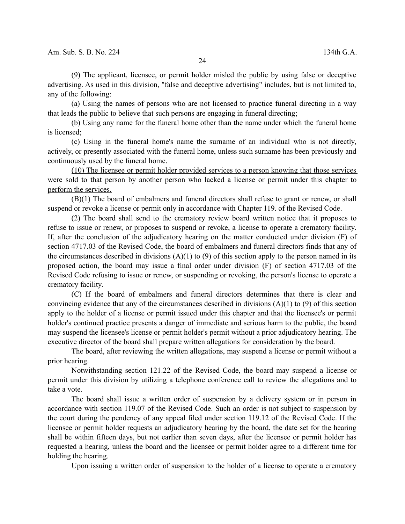(9) The applicant, licensee, or permit holder misled the public by using false or deceptive advertising. As used in this division, "false and deceptive advertising" includes, but is not limited to, any of the following:

(a) Using the names of persons who are not licensed to practice funeral directing in a way that leads the public to believe that such persons are engaging in funeral directing;

(b) Using any name for the funeral home other than the name under which the funeral home is licensed;

(c) Using in the funeral home's name the surname of an individual who is not directly, actively, or presently associated with the funeral home, unless such surname has been previously and continuously used by the funeral home.

(10) The licensee or permit holder provided services to a person knowing that those services were sold to that person by another person who lacked a license or permit under this chapter to perform the services.

(B)(1) The board of embalmers and funeral directors shall refuse to grant or renew, or shall suspend or revoke a license or permit only in accordance with Chapter 119. of the Revised Code.

(2) The board shall send to the crematory review board written notice that it proposes to refuse to issue or renew, or proposes to suspend or revoke, a license to operate a crematory facility. If, after the conclusion of the adjudicatory hearing on the matter conducted under division (F) of section 4717.03 of the Revised Code, the board of embalmers and funeral directors finds that any of the circumstances described in divisions  $(A)(1)$  to (9) of this section apply to the person named in its proposed action, the board may issue a final order under division (F) of section 4717.03 of the Revised Code refusing to issue or renew, or suspending or revoking, the person's license to operate a crematory facility.

(C) If the board of embalmers and funeral directors determines that there is clear and convincing evidence that any of the circumstances described in divisions  $(A)(1)$  to (9) of this section apply to the holder of a license or permit issued under this chapter and that the licensee's or permit holder's continued practice presents a danger of immediate and serious harm to the public, the board may suspend the licensee's license or permit holder's permit without a prior adjudicatory hearing. The executive director of the board shall prepare written allegations for consideration by the board.

The board, after reviewing the written allegations, may suspend a license or permit without a prior hearing.

Notwithstanding section 121.22 of the Revised Code, the board may suspend a license or permit under this division by utilizing a telephone conference call to review the allegations and to take a vote.

The board shall issue a written order of suspension by a delivery system or in person in accordance with section 119.07 of the Revised Code. Such an order is not subject to suspension by the court during the pendency of any appeal filed under section 119.12 of the Revised Code. If the licensee or permit holder requests an adjudicatory hearing by the board, the date set for the hearing shall be within fifteen days, but not earlier than seven days, after the licensee or permit holder has requested a hearing, unless the board and the licensee or permit holder agree to a different time for holding the hearing.

Upon issuing a written order of suspension to the holder of a license to operate a crematory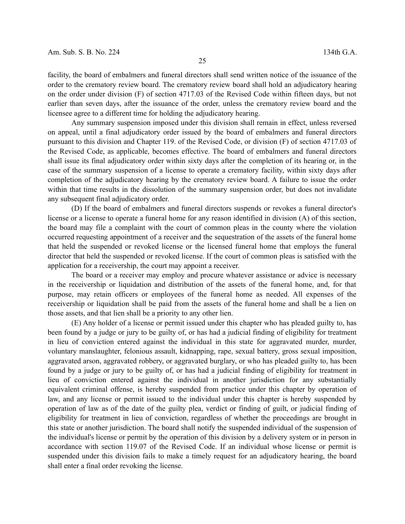facility, the board of embalmers and funeral directors shall send written notice of the issuance of the order to the crematory review board. The crematory review board shall hold an adjudicatory hearing on the order under division (F) of section 4717.03 of the Revised Code within fifteen days, but not earlier than seven days, after the issuance of the order, unless the crematory review board and the licensee agree to a different time for holding the adjudicatory hearing.

Any summary suspension imposed under this division shall remain in effect, unless reversed on appeal, until a final adjudicatory order issued by the board of embalmers and funeral directors pursuant to this division and Chapter 119. of the Revised Code, or division (F) of section 4717.03 of the Revised Code, as applicable, becomes effective. The board of embalmers and funeral directors shall issue its final adjudicatory order within sixty days after the completion of its hearing or, in the case of the summary suspension of a license to operate a crematory facility, within sixty days after completion of the adjudicatory hearing by the crematory review board. A failure to issue the order within that time results in the dissolution of the summary suspension order, but does not invalidate any subsequent final adjudicatory order.

(D) If the board of embalmers and funeral directors suspends or revokes a funeral director's license or a license to operate a funeral home for any reason identified in division (A) of this section, the board may file a complaint with the court of common pleas in the county where the violation occurred requesting appointment of a receiver and the sequestration of the assets of the funeral home that held the suspended or revoked license or the licensed funeral home that employs the funeral director that held the suspended or revoked license. If the court of common pleas is satisfied with the application for a receivership, the court may appoint a receiver.

The board or a receiver may employ and procure whatever assistance or advice is necessary in the receivership or liquidation and distribution of the assets of the funeral home, and, for that purpose, may retain officers or employees of the funeral home as needed. All expenses of the receivership or liquidation shall be paid from the assets of the funeral home and shall be a lien on those assets, and that lien shall be a priority to any other lien.

(E) Any holder of a license or permit issued under this chapter who has pleaded guilty to, has been found by a judge or jury to be guilty of, or has had a judicial finding of eligibility for treatment in lieu of conviction entered against the individual in this state for aggravated murder, murder, voluntary manslaughter, felonious assault, kidnapping, rape, sexual battery, gross sexual imposition, aggravated arson, aggravated robbery, or aggravated burglary, or who has pleaded guilty to, has been found by a judge or jury to be guilty of, or has had a judicial finding of eligibility for treatment in lieu of conviction entered against the individual in another jurisdiction for any substantially equivalent criminal offense, is hereby suspended from practice under this chapter by operation of law, and any license or permit issued to the individual under this chapter is hereby suspended by operation of law as of the date of the guilty plea, verdict or finding of guilt, or judicial finding of eligibility for treatment in lieu of conviction, regardless of whether the proceedings are brought in this state or another jurisdiction. The board shall notify the suspended individual of the suspension of the individual's license or permit by the operation of this division by a delivery system or in person in accordance with section 119.07 of the Revised Code. If an individual whose license or permit is suspended under this division fails to make a timely request for an adjudicatory hearing, the board shall enter a final order revoking the license.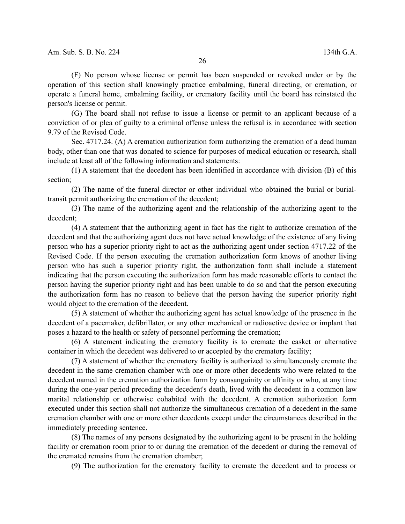(F) No person whose license or permit has been suspended or revoked under or by the operation of this section shall knowingly practice embalming, funeral directing, or cremation, or operate a funeral home, embalming facility, or crematory facility until the board has reinstated the person's license or permit.

(G) The board shall not refuse to issue a license or permit to an applicant because of a conviction of or plea of guilty to a criminal offense unless the refusal is in accordance with section 9.79 of the Revised Code.

Sec. 4717.24. (A) A cremation authorization form authorizing the cremation of a dead human body, other than one that was donated to science for purposes of medical education or research, shall include at least all of the following information and statements:

(1) A statement that the decedent has been identified in accordance with division (B) of this section;

(2) The name of the funeral director or other individual who obtained the burial or burialtransit permit authorizing the cremation of the decedent;

(3) The name of the authorizing agent and the relationship of the authorizing agent to the decedent;

(4) A statement that the authorizing agent in fact has the right to authorize cremation of the decedent and that the authorizing agent does not have actual knowledge of the existence of any living person who has a superior priority right to act as the authorizing agent under section 4717.22 of the Revised Code. If the person executing the cremation authorization form knows of another living person who has such a superior priority right, the authorization form shall include a statement indicating that the person executing the authorization form has made reasonable efforts to contact the person having the superior priority right and has been unable to do so and that the person executing the authorization form has no reason to believe that the person having the superior priority right would object to the cremation of the decedent.

(5) A statement of whether the authorizing agent has actual knowledge of the presence in the decedent of a pacemaker, defibrillator, or any other mechanical or radioactive device or implant that poses a hazard to the health or safety of personnel performing the cremation;

(6) A statement indicating the crematory facility is to cremate the casket or alternative container in which the decedent was delivered to or accepted by the crematory facility;

(7) A statement of whether the crematory facility is authorized to simultaneously cremate the decedent in the same cremation chamber with one or more other decedents who were related to the decedent named in the cremation authorization form by consanguinity or affinity or who, at any time during the one-year period preceding the decedent's death, lived with the decedent in a common law marital relationship or otherwise cohabited with the decedent. A cremation authorization form executed under this section shall not authorize the simultaneous cremation of a decedent in the same cremation chamber with one or more other decedents except under the circumstances described in the immediately preceding sentence.

(8) The names of any persons designated by the authorizing agent to be present in the holding facility or cremation room prior to or during the cremation of the decedent or during the removal of the cremated remains from the cremation chamber;

(9) The authorization for the crematory facility to cremate the decedent and to process or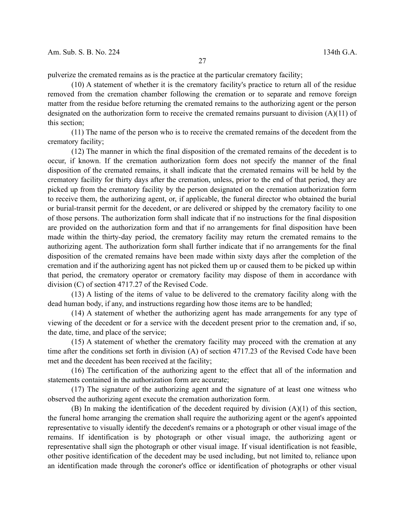pulverize the cremated remains as is the practice at the particular crematory facility;

(10) A statement of whether it is the crematory facility's practice to return all of the residue removed from the cremation chamber following the cremation or to separate and remove foreign matter from the residue before returning the cremated remains to the authorizing agent or the person designated on the authorization form to receive the cremated remains pursuant to division  $(A)(11)$  of this section;

(11) The name of the person who is to receive the cremated remains of the decedent from the crematory facility;

(12) The manner in which the final disposition of the cremated remains of the decedent is to occur, if known. If the cremation authorization form does not specify the manner of the final disposition of the cremated remains, it shall indicate that the cremated remains will be held by the crematory facility for thirty days after the cremation, unless, prior to the end of that period, they are picked up from the crematory facility by the person designated on the cremation authorization form to receive them, the authorizing agent, or, if applicable, the funeral director who obtained the burial or burial-transit permit for the decedent, or are delivered or shipped by the crematory facility to one of those persons. The authorization form shall indicate that if no instructions for the final disposition are provided on the authorization form and that if no arrangements for final disposition have been made within the thirty-day period, the crematory facility may return the cremated remains to the authorizing agent. The authorization form shall further indicate that if no arrangements for the final disposition of the cremated remains have been made within sixty days after the completion of the cremation and if the authorizing agent has not picked them up or caused them to be picked up within that period, the crematory operator or crematory facility may dispose of them in accordance with division (C) of section 4717.27 of the Revised Code.

(13) A listing of the items of value to be delivered to the crematory facility along with the dead human body, if any, and instructions regarding how those items are to be handled;

(14) A statement of whether the authorizing agent has made arrangements for any type of viewing of the decedent or for a service with the decedent present prior to the cremation and, if so, the date, time, and place of the service;

(15) A statement of whether the crematory facility may proceed with the cremation at any time after the conditions set forth in division (A) of section 4717.23 of the Revised Code have been met and the decedent has been received at the facility;

(16) The certification of the authorizing agent to the effect that all of the information and statements contained in the authorization form are accurate;

(17) The signature of the authorizing agent and the signature of at least one witness who observed the authorizing agent execute the cremation authorization form.

(B) In making the identification of the decedent required by division (A)(1) of this section, the funeral home arranging the cremation shall require the authorizing agent or the agent's appointed representative to visually identify the decedent's remains or a photograph or other visual image of the remains. If identification is by photograph or other visual image, the authorizing agent or representative shall sign the photograph or other visual image. If visual identification is not feasible, other positive identification of the decedent may be used including, but not limited to, reliance upon an identification made through the coroner's office or identification of photographs or other visual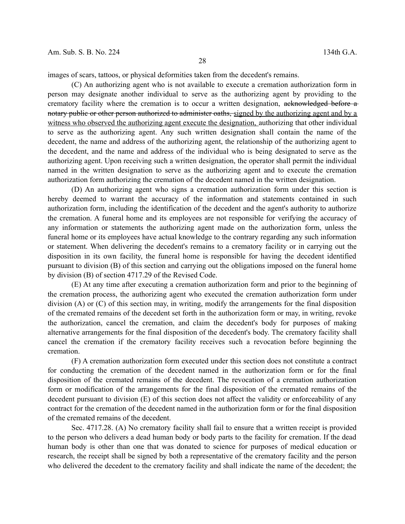images of scars, tattoos, or physical deformities taken from the decedent's remains.

(C) An authorizing agent who is not available to execute a cremation authorization form in person may designate another individual to serve as the authorizing agent by providing to the crematory facility where the cremation is to occur a written designation, acknowledged before a notary public or other person authorized to administer oaths, signed by the authorizing agent and by a witness who observed the authorizing agent execute the designation, authorizing that other individual to serve as the authorizing agent. Any such written designation shall contain the name of the decedent, the name and address of the authorizing agent, the relationship of the authorizing agent to the decedent, and the name and address of the individual who is being designated to serve as the authorizing agent. Upon receiving such a written designation, the operator shall permit the individual named in the written designation to serve as the authorizing agent and to execute the cremation authorization form authorizing the cremation of the decedent named in the written designation.

(D) An authorizing agent who signs a cremation authorization form under this section is hereby deemed to warrant the accuracy of the information and statements contained in such authorization form, including the identification of the decedent and the agent's authority to authorize the cremation. A funeral home and its employees are not responsible for verifying the accuracy of any information or statements the authorizing agent made on the authorization form, unless the funeral home or its employees have actual knowledge to the contrary regarding any such information or statement. When delivering the decedent's remains to a crematory facility or in carrying out the disposition in its own facility, the funeral home is responsible for having the decedent identified pursuant to division (B) of this section and carrying out the obligations imposed on the funeral home by division (B) of section 4717.29 of the Revised Code.

(E) At any time after executing a cremation authorization form and prior to the beginning of the cremation process, the authorizing agent who executed the cremation authorization form under division (A) or (C) of this section may, in writing, modify the arrangements for the final disposition of the cremated remains of the decedent set forth in the authorization form or may, in writing, revoke the authorization, cancel the cremation, and claim the decedent's body for purposes of making alternative arrangements for the final disposition of the decedent's body. The crematory facility shall cancel the cremation if the crematory facility receives such a revocation before beginning the cremation.

(F) A cremation authorization form executed under this section does not constitute a contract for conducting the cremation of the decedent named in the authorization form or for the final disposition of the cremated remains of the decedent. The revocation of a cremation authorization form or modification of the arrangements for the final disposition of the cremated remains of the decedent pursuant to division (E) of this section does not affect the validity or enforceability of any contract for the cremation of the decedent named in the authorization form or for the final disposition of the cremated remains of the decedent.

Sec. 4717.28. (A) No crematory facility shall fail to ensure that a written receipt is provided to the person who delivers a dead human body or body parts to the facility for cremation. If the dead human body is other than one that was donated to science for purposes of medical education or research, the receipt shall be signed by both a representative of the crematory facility and the person who delivered the decedent to the crematory facility and shall indicate the name of the decedent; the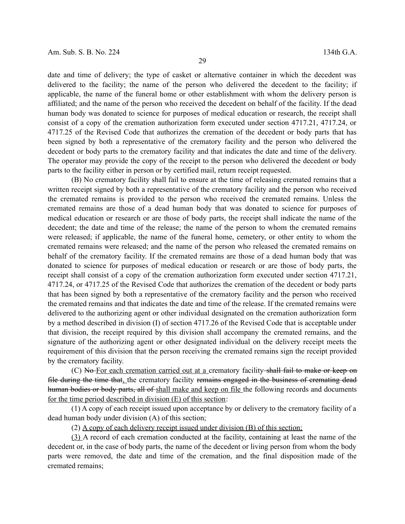date and time of delivery; the type of casket or alternative container in which the decedent was delivered to the facility; the name of the person who delivered the decedent to the facility; if applicable, the name of the funeral home or other establishment with whom the delivery person is affiliated; and the name of the person who received the decedent on behalf of the facility. If the dead human body was donated to science for purposes of medical education or research, the receipt shall consist of a copy of the cremation authorization form executed under section 4717.21, 4717.24, or 4717.25 of the Revised Code that authorizes the cremation of the decedent or body parts that has been signed by both a representative of the crematory facility and the person who delivered the decedent or body parts to the crematory facility and that indicates the date and time of the delivery. The operator may provide the copy of the receipt to the person who delivered the decedent or body parts to the facility either in person or by certified mail, return receipt requested.

(B) No crematory facility shall fail to ensure at the time of releasing cremated remains that a written receipt signed by both a representative of the crematory facility and the person who received the cremated remains is provided to the person who received the cremated remains. Unless the cremated remains are those of a dead human body that was donated to science for purposes of medical education or research or are those of body parts, the receipt shall indicate the name of the decedent; the date and time of the release; the name of the person to whom the cremated remains were released; if applicable, the name of the funeral home, cemetery, or other entity to whom the cremated remains were released; and the name of the person who released the cremated remains on behalf of the crematory facility. If the cremated remains are those of a dead human body that was donated to science for purposes of medical education or research or are those of body parts, the receipt shall consist of a copy of the cremation authorization form executed under section 4717.21, 4717.24, or 4717.25 of the Revised Code that authorizes the cremation of the decedent or body parts that has been signed by both a representative of the crematory facility and the person who received the cremated remains and that indicates the date and time of the release. If the cremated remains were delivered to the authorizing agent or other individual designated on the cremation authorization form by a method described in division (I) of section 4717.26 of the Revised Code that is acceptable under that division, the receipt required by this division shall accompany the cremated remains, and the signature of the authorizing agent or other designated individual on the delivery receipt meets the requirement of this division that the person receiving the cremated remains sign the receipt provided by the crematory facility.

(C) No For each cremation carried out at a crematory facility shall fail to make or keep on file during the time that, the crematory facility remains engaged in the business of cremating dead human bodies or body parts, all of shall make and keep on file the following records and documents for the time period described in division (E) of this section:

(1) A copy of each receipt issued upon acceptance by or delivery to the crematory facility of a dead human body under division (A) of this section;

(2) A copy of each delivery receipt issued under division (B) of this section;

(3) A record of each cremation conducted at the facility, containing at least the name of the decedent or, in the case of body parts, the name of the decedent or living person from whom the body parts were removed, the date and time of the cremation, and the final disposition made of the cremated remains;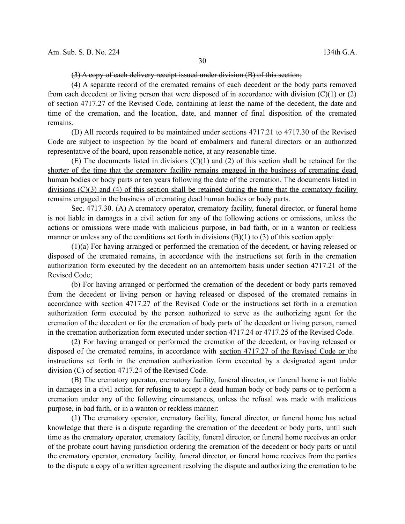## (3) A copy of each delivery receipt issued under division (B) of this section;

(4) A separate record of the cremated remains of each decedent or the body parts removed from each decedent or living person that were disposed of in accordance with division  $(C)(1)$  or  $(2)$ of section 4717.27 of the Revised Code, containing at least the name of the decedent, the date and time of the cremation, and the location, date, and manner of final disposition of the cremated remains.

(D) All records required to be maintained under sections 4717.21 to 4717.30 of the Revised Code are subject to inspection by the board of embalmers and funeral directors or an authorized representative of the board, upon reasonable notice, at any reasonable time.

(E) The documents listed in divisions  $(C)(1)$  and (2) of this section shall be retained for the shorter of the time that the crematory facility remains engaged in the business of cremating dead human bodies or body parts or ten years following the date of the cremation. The documents listed in divisions (C)(3) and (4) of this section shall be retained during the time that the crematory facility remains engaged in the business of cremating dead human bodies or body parts.

Sec. 4717.30. (A) A crematory operator, crematory facility, funeral director, or funeral home is not liable in damages in a civil action for any of the following actions or omissions, unless the actions or omissions were made with malicious purpose, in bad faith, or in a wanton or reckless manner or unless any of the conditions set forth in divisions  $(B)(1)$  to  $(3)$  of this section apply:

(1)(a) For having arranged or performed the cremation of the decedent, or having released or disposed of the cremated remains, in accordance with the instructions set forth in the cremation authorization form executed by the decedent on an antemortem basis under section 4717.21 of the Revised Code;

(b) For having arranged or performed the cremation of the decedent or body parts removed from the decedent or living person or having released or disposed of the cremated remains in accordance with section 4717.27 of the Revised Code or the instructions set forth in a cremation authorization form executed by the person authorized to serve as the authorizing agent for the cremation of the decedent or for the cremation of body parts of the decedent or living person, named in the cremation authorization form executed under section 4717.24 or 4717.25 of the Revised Code.

(2) For having arranged or performed the cremation of the decedent, or having released or disposed of the cremated remains, in accordance with section 4717.27 of the Revised Code or the instructions set forth in the cremation authorization form executed by a designated agent under division (C) of section 4717.24 of the Revised Code.

(B) The crematory operator, crematory facility, funeral director, or funeral home is not liable in damages in a civil action for refusing to accept a dead human body or body parts or to perform a cremation under any of the following circumstances, unless the refusal was made with malicious purpose, in bad faith, or in a wanton or reckless manner:

(1) The crematory operator, crematory facility, funeral director, or funeral home has actual knowledge that there is a dispute regarding the cremation of the decedent or body parts, until such time as the crematory operator, crematory facility, funeral director, or funeral home receives an order of the probate court having jurisdiction ordering the cremation of the decedent or body parts or until the crematory operator, crematory facility, funeral director, or funeral home receives from the parties to the dispute a copy of a written agreement resolving the dispute and authorizing the cremation to be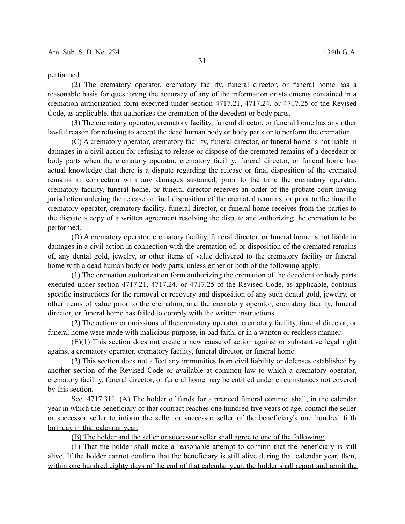performed.

(2) The crematory operator, crematory facility, funeral director, or funeral home has a reasonable basis for questioning the accuracy of any of the information or statements contained in a cremation authorization form executed under section 4717.21, 4717.24, or 4717.25 of the Revised Code, as applicable, that authorizes the cremation of the decedent or body parts.

(3) The crematory operator, crematory facility, funeral director, or funeral home has any other lawful reason for refusing to accept the dead human body or body parts or to perform the cremation.

(C) A crematory operator, crematory facility, funeral director, or funeral home is not liable in damages in a civil action for refusing to release or dispose of the cremated remains of a decedent or body parts when the crematory operator, crematory facility, funeral director, or funeral home has actual knowledge that there is a dispute regarding the release or final disposition of the cremated remains in connection with any damages sustained, prior to the time the crematory operator, crematory facility, funeral home, or funeral director receives an order of the probate court having jurisdiction ordering the release or final disposition of the cremated remains, or prior to the time the crematory operator, crematory facility, funeral director, or funeral home receives from the parties to the dispute a copy of a written agreement resolving the dispute and authorizing the cremation to be performed.

(D) A crematory operator, crematory facility, funeral director, or funeral home is not liable in damages in a civil action in connection with the cremation of, or disposition of the cremated remains of, any dental gold, jewelry, or other items of value delivered to the crematory facility or funeral home with a dead human body or body parts, unless either or both of the following apply:

(1) The cremation authorization form authorizing the cremation of the decedent or body parts executed under section 4717.21, 4717.24, or 4717.25 of the Revised Code, as applicable, contains specific instructions for the removal or recovery and disposition of any such dental gold, jewelry, or other items of value prior to the cremation, and the crematory operator, crematory facility, funeral director, or funeral home has failed to comply with the written instructions.

(2) The actions or omissions of the crematory operator, crematory facility, funeral director, or funeral home were made with malicious purpose, in bad faith, or in a wanton or reckless manner.

(E)(1) This section does not create a new cause of action against or substantive legal right against a crematory operator, crematory facility, funeral director, or funeral home.

(2) This section does not affect any immunities from civil liability or defenses established by another section of the Revised Code or available at common law to which a crematory operator, crematory facility, funeral director, or funeral home may be entitled under circumstances not covered by this section.

 Sec. 4717.311. (A) The holder of funds for a preneed funeral contract shall, in the calendar year in which the beneficiary of that contract reaches one hundred five years of age, contact the seller or successor seller to inform the seller or successor seller of the beneficiary's one hundred fifth birthday in that calendar year.

(B) The holder and the seller or successor seller shall agree to one of the following:

(1) That the holder shall make a reasonable attempt to confirm that the beneficiary is still alive. If the holder cannot confirm that the beneficiary is still alive during that calendar year, then, within one hundred eighty days of the end of that calendar year, the holder shall report and remit the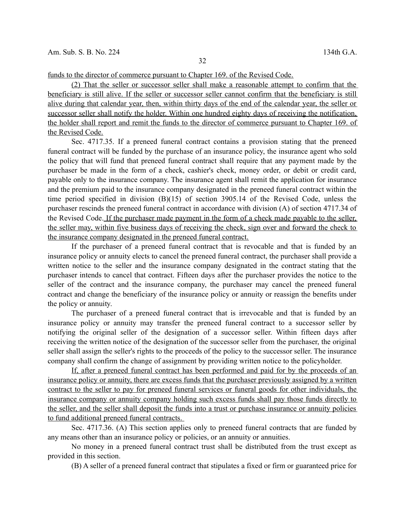funds to the director of commerce pursuant to Chapter 169. of the Revised Code.

(2) That the seller or successor seller shall make a reasonable attempt to confirm that the beneficiary is still alive. If the seller or successor seller cannot confirm that the beneficiary is still alive during that calendar year, then, within thirty days of the end of the calendar year, the seller or successor seller shall notify the holder. Within one hundred eighty days of receiving the notification, the holder shall report and remit the funds to the director of commerce pursuant to Chapter 169. of the Revised Code.

Sec. 4717.35. If a preneed funeral contract contains a provision stating that the preneed funeral contract will be funded by the purchase of an insurance policy, the insurance agent who sold the policy that will fund that preneed funeral contract shall require that any payment made by the purchaser be made in the form of a check, cashier's check, money order, or debit or credit card, payable only to the insurance company. The insurance agent shall remit the application for insurance and the premium paid to the insurance company designated in the preneed funeral contract within the time period specified in division (B)(15) of section 3905.14 of the Revised Code, unless the purchaser rescinds the preneed funeral contract in accordance with division (A) of section 4717.34 of the Revised Code. If the purchaser made payment in the form of a check made payable to the seller, the seller may, within five business days of receiving the check, sign over and forward the check to the insurance company designated in the preneed funeral contract.

If the purchaser of a preneed funeral contract that is revocable and that is funded by an insurance policy or annuity elects to cancel the preneed funeral contract, the purchaser shall provide a written notice to the seller and the insurance company designated in the contract stating that the purchaser intends to cancel that contract. Fifteen days after the purchaser provides the notice to the seller of the contract and the insurance company, the purchaser may cancel the preneed funeral contract and change the beneficiary of the insurance policy or annuity or reassign the benefits under the policy or annuity.

The purchaser of a preneed funeral contract that is irrevocable and that is funded by an insurance policy or annuity may transfer the preneed funeral contract to a successor seller by notifying the original seller of the designation of a successor seller. Within fifteen days after receiving the written notice of the designation of the successor seller from the purchaser, the original seller shall assign the seller's rights to the proceeds of the policy to the successor seller. The insurance company shall confirm the change of assignment by providing written notice to the policyholder.

If, after a preneed funeral contract has been performed and paid for by the proceeds of an insurance policy or annuity, there are excess funds that the purchaser previously assigned by a written contract to the seller to pay for preneed funeral services or funeral goods for other individuals, the insurance company or annuity company holding such excess funds shall pay those funds directly to the seller, and the seller shall deposit the funds into a trust or purchase insurance or annuity policies to fund additional preneed funeral contracts.

Sec. 4717.36. (A) This section applies only to preneed funeral contracts that are funded by any means other than an insurance policy or policies, or an annuity or annuities.

No money in a preneed funeral contract trust shall be distributed from the trust except as provided in this section.

(B) A seller of a preneed funeral contract that stipulates a fixed or firm or guaranteed price for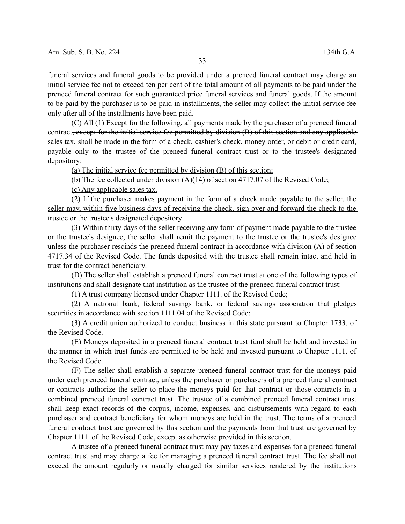funeral services and funeral goods to be provided under a preneed funeral contract may charge an initial service fee not to exceed ten per cent of the total amount of all payments to be paid under the preneed funeral contract for such guaranteed price funeral services and funeral goods. If the amount to be paid by the purchaser is to be paid in installments, the seller may collect the initial service fee only after all of the installments have been paid.

 $(C)$ -All  $(1)$  Except for the following, all payments made by the purchaser of a preneed funeral contract, except for the initial service fee permitted by division (B) of this section and any applicable sales tax, shall be made in the form of a check, cashier's check, money order, or debit or credit card, payable only to the trustee of the preneed funeral contract trust or to the trustee's designated depository:

(a) The initial service fee permitted by division (B) of this section;

(b) The fee collected under division (A)(14) of section 4717.07 of the Revised Code;

(c) Any applicable sales tax.

(2) If the purchaser makes payment in the form of a check made payable to the seller, the seller may, within five business days of receiving the check, sign over and forward the check to the trustee or the trustee's designated depository.

(3) Within thirty days of the seller receiving any form of payment made payable to the trustee or the trustee's designee, the seller shall remit the payment to the trustee or the trustee's designee unless the purchaser rescinds the preneed funeral contract in accordance with division (A) of section 4717.34 of the Revised Code. The funds deposited with the trustee shall remain intact and held in trust for the contract beneficiary.

(D) The seller shall establish a preneed funeral contract trust at one of the following types of institutions and shall designate that institution as the trustee of the preneed funeral contract trust:

(1) A trust company licensed under Chapter 1111. of the Revised Code;

(2) A national bank, federal savings bank, or federal savings association that pledges securities in accordance with section 1111.04 of the Revised Code;

(3) A credit union authorized to conduct business in this state pursuant to Chapter 1733. of the Revised Code.

(E) Moneys deposited in a preneed funeral contract trust fund shall be held and invested in the manner in which trust funds are permitted to be held and invested pursuant to Chapter 1111. of the Revised Code.

(F) The seller shall establish a separate preneed funeral contract trust for the moneys paid under each preneed funeral contract, unless the purchaser or purchasers of a preneed funeral contract or contracts authorize the seller to place the moneys paid for that contract or those contracts in a combined preneed funeral contract trust. The trustee of a combined preneed funeral contract trust shall keep exact records of the corpus, income, expenses, and disbursements with regard to each purchaser and contract beneficiary for whom moneys are held in the trust. The terms of a preneed funeral contract trust are governed by this section and the payments from that trust are governed by Chapter 1111. of the Revised Code, except as otherwise provided in this section.

A trustee of a preneed funeral contract trust may pay taxes and expenses for a preneed funeral contract trust and may charge a fee for managing a preneed funeral contract trust. The fee shall not exceed the amount regularly or usually charged for similar services rendered by the institutions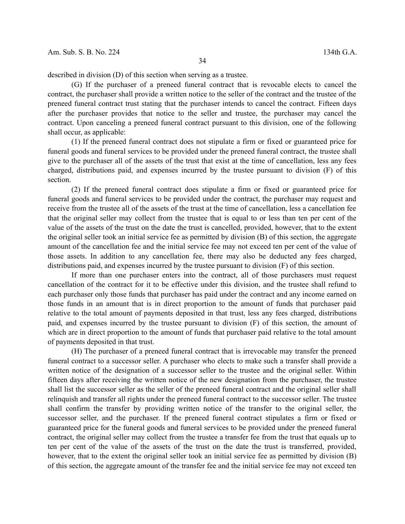described in division (D) of this section when serving as a trustee.

(G) If the purchaser of a preneed funeral contract that is revocable elects to cancel the contract, the purchaser shall provide a written notice to the seller of the contract and the trustee of the preneed funeral contract trust stating that the purchaser intends to cancel the contract. Fifteen days after the purchaser provides that notice to the seller and trustee, the purchaser may cancel the contract. Upon canceling a preneed funeral contract pursuant to this division, one of the following shall occur, as applicable:

(1) If the preneed funeral contract does not stipulate a firm or fixed or guaranteed price for funeral goods and funeral services to be provided under the preneed funeral contract, the trustee shall give to the purchaser all of the assets of the trust that exist at the time of cancellation, less any fees charged, distributions paid, and expenses incurred by the trustee pursuant to division (F) of this section.

(2) If the preneed funeral contract does stipulate a firm or fixed or guaranteed price for funeral goods and funeral services to be provided under the contract, the purchaser may request and receive from the trustee all of the assets of the trust at the time of cancellation, less a cancellation fee that the original seller may collect from the trustee that is equal to or less than ten per cent of the value of the assets of the trust on the date the trust is cancelled, provided, however, that to the extent the original seller took an initial service fee as permitted by division (B) of this section, the aggregate amount of the cancellation fee and the initial service fee may not exceed ten per cent of the value of those assets. In addition to any cancellation fee, there may also be deducted any fees charged, distributions paid, and expenses incurred by the trustee pursuant to division (F) of this section.

If more than one purchaser enters into the contract, all of those purchasers must request cancellation of the contract for it to be effective under this division, and the trustee shall refund to each purchaser only those funds that purchaser has paid under the contract and any income earned on those funds in an amount that is in direct proportion to the amount of funds that purchaser paid relative to the total amount of payments deposited in that trust, less any fees charged, distributions paid, and expenses incurred by the trustee pursuant to division (F) of this section, the amount of which are in direct proportion to the amount of funds that purchaser paid relative to the total amount of payments deposited in that trust.

(H) The purchaser of a preneed funeral contract that is irrevocable may transfer the preneed funeral contract to a successor seller. A purchaser who elects to make such a transfer shall provide a written notice of the designation of a successor seller to the trustee and the original seller. Within fifteen days after receiving the written notice of the new designation from the purchaser, the trustee shall list the successor seller as the seller of the preneed funeral contract and the original seller shall relinquish and transfer all rights under the preneed funeral contract to the successor seller. The trustee shall confirm the transfer by providing written notice of the transfer to the original seller, the successor seller, and the purchaser. If the preneed funeral contract stipulates a firm or fixed or guaranteed price for the funeral goods and funeral services to be provided under the preneed funeral contract, the original seller may collect from the trustee a transfer fee from the trust that equals up to ten per cent of the value of the assets of the trust on the date the trust is transferred, provided, however, that to the extent the original seller took an initial service fee as permitted by division (B) of this section, the aggregate amount of the transfer fee and the initial service fee may not exceed ten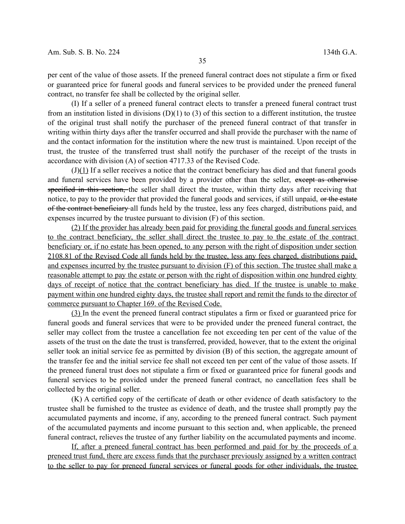per cent of the value of those assets. If the preneed funeral contract does not stipulate a firm or fixed or guaranteed price for funeral goods and funeral services to be provided under the preneed funeral contract, no transfer fee shall be collected by the original seller.

(I) If a seller of a preneed funeral contract elects to transfer a preneed funeral contract trust from an institution listed in divisions  $(D)(1)$  to  $(3)$  of this section to a different institution, the trustee of the original trust shall notify the purchaser of the preneed funeral contract of that transfer in writing within thirty days after the transfer occurred and shall provide the purchaser with the name of and the contact information for the institution where the new trust is maintained. Upon receipt of the trust, the trustee of the transferred trust shall notify the purchaser of the receipt of the trusts in accordance with division (A) of section 4717.33 of the Revised Code.

 $(J)(1)$  If a seller receives a notice that the contract beneficiary has died and that funeral goods and funeral services have been provided by a provider other than the seller, except as otherwise specified in this section, the seller shall direct the trustee, within thirty days after receiving that notice, to pay to the provider that provided the funeral goods and services, if still unpaid, or the estate of the contract beneficiary all funds held by the trustee, less any fees charged, distributions paid, and expenses incurred by the trustee pursuant to division (F) of this section.

(2) If the provider has already been paid for providing the funeral goods and funeral services to the contract beneficiary, the seller shall direct the trustee to pay to the estate of the contract beneficiary or, if no estate has been opened, to any person with the right of disposition under section 2108.81 of the Revised Code all funds held by the trustee, less any fees charged, distributions paid, and expenses incurred by the trustee pursuant to division (F) of this section. The trustee shall make a reasonable attempt to pay the estate or person with the right of disposition within one hundred eighty days of receipt of notice that the contract beneficiary has died. If the trustee is unable to make payment within one hundred eighty days, the trustee shall report and remit the funds to the director of commerce pursuant to Chapter 169. of the Revised Code.

(3) In the event the preneed funeral contract stipulates a firm or fixed or guaranteed price for funeral goods and funeral services that were to be provided under the preneed funeral contract, the seller may collect from the trustee a cancellation fee not exceeding ten per cent of the value of the assets of the trust on the date the trust is transferred, provided, however, that to the extent the original seller took an initial service fee as permitted by division (B) of this section, the aggregate amount of the transfer fee and the initial service fee shall not exceed ten per cent of the value of those assets. If the preneed funeral trust does not stipulate a firm or fixed or guaranteed price for funeral goods and funeral services to be provided under the preneed funeral contract, no cancellation fees shall be collected by the original seller.

(K) A certified copy of the certificate of death or other evidence of death satisfactory to the trustee shall be furnished to the trustee as evidence of death, and the trustee shall promptly pay the accumulated payments and income, if any, according to the preneed funeral contract. Such payment of the accumulated payments and income pursuant to this section and, when applicable, the preneed funeral contract, relieves the trustee of any further liability on the accumulated payments and income.

If, after a preneed funeral contract has been performed and paid for by the proceeds of a preneed trust fund, there are excess funds that the purchaser previously assigned by a written contract to the seller to pay for preneed funeral services or funeral goods for other individuals, the trustee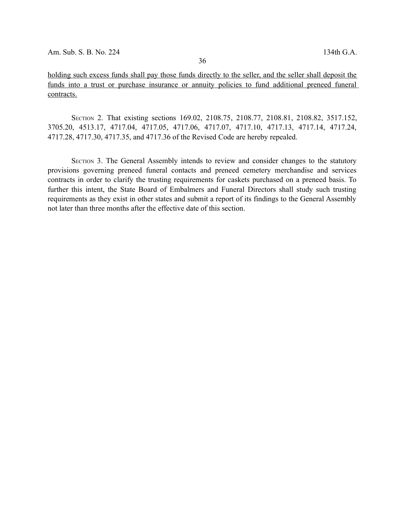holding such excess funds shall pay those funds directly to the seller, and the seller shall deposit the funds into a trust or purchase insurance or annuity policies to fund additional preneed funeral contracts.

SECTION 2. That existing sections 169.02, 2108.75, 2108.77, 2108.81, 2108.82, 3517.152, 3705.20, 4513.17, 4717.04, 4717.05, 4717.06, 4717.07, 4717.10, 4717.13, 4717.14, 4717.24, 4717.28, 4717.30, 4717.35, and 4717.36 of the Revised Code are hereby repealed.

SECTION 3. The General Assembly intends to review and consider changes to the statutory provisions governing preneed funeral contacts and preneed cemetery merchandise and services contracts in order to clarify the trusting requirements for caskets purchased on a preneed basis. To further this intent, the State Board of Embalmers and Funeral Directors shall study such trusting requirements as they exist in other states and submit a report of its findings to the General Assembly not later than three months after the effective date of this section.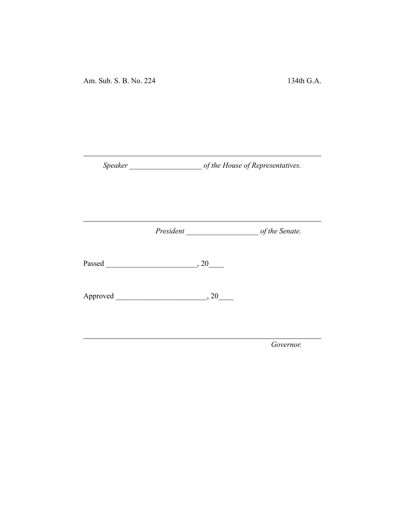Am. Sub. S. B. No. 224 134th G.A.

*Speaker \_\_\_\_\_\_\_\_\_\_\_\_\_\_\_\_\_\_\_ of the House of Representatives.*

*President \_\_\_\_\_\_\_\_\_\_\_\_\_\_\_\_\_\_\_ of the Senate.*

Passed \_\_\_\_\_\_\_\_\_\_\_\_\_\_\_\_\_\_\_\_\_\_\_\_, 20\_\_\_\_

Approved \_\_\_\_\_\_\_\_\_\_\_\_\_\_\_\_\_\_\_\_\_\_\_\_, 20\_\_\_\_

*Governor.*